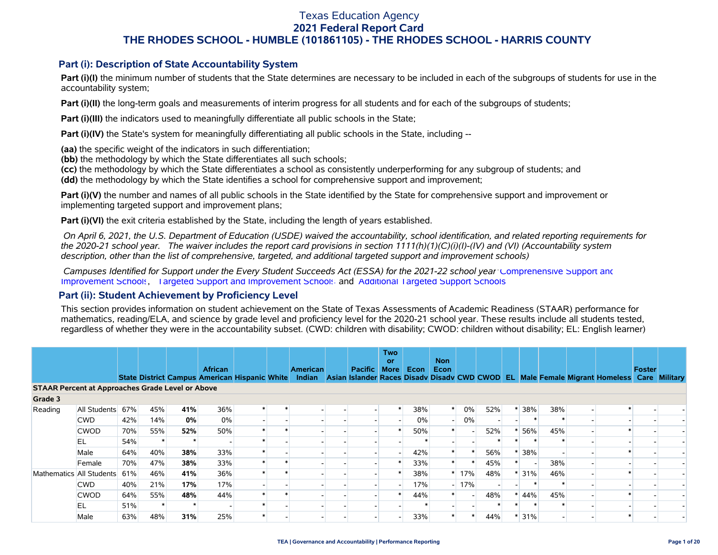### **Part (i): Description of State Accountability System**

Part (i)(I) the minimum number of students that the State determines are necessary to be included in each of the subgroups of students for use in the accountability system;

**Part (i)(II)** the long-term goals and measurements of interim progress for all students and for each of the subgroups of students;

**Part (i)(III)** the indicators used to meaningfully differentiate all public schools in the State;

**Part (i)(IV)** the State's system for meaningfully differentiating all public schools in the State, including --

**(aa)** the specific weight of the indicators in such differentiation;

**(bb)** the methodology by which the State differentiates all such schools;

**(cc)** the methodology by which the State differentiates a school as consistently underperforming for any subgroup of students; and

**(dd)** the methodology by which the State identifies a school for comprehensive support and improvement;

**Part (i)(V)** the number and names of all public schools in the State identified by the State for comprehensive support and improvement or implementing targeted support and improvement plans;

**Part (i)(VI)** the exit criteria established by the State, including the length of years established.

 *On April 6, 2021, the U.S. Department of Education (USDE) waived the accountability, school identification, and related reporting requirements for the 2020-21 school year. The waiver includes the report card provisions in section 1111(h)(1)(C)(i)(I)-(IV) and (VI) (Accountability system description, other than the list of comprehensive, targeted, and additional targeted support and improvement schools)* 

 *Campuses Identified for Support under the Every Student Succeeds Act (ESSA) for the 2021-22 school year:* [Comprehensive Support and](https://tea.texas.gov/sites/default/files/comprehensive_support_2021.xlsx) [Improvement Schools](https://tea.texas.gov/sites/default/files/comprehensive_support_2021.xlsx), [Targeted Support and Improvement Schools](https://tea.texas.gov/sites/default/files/targeted_support_2021.xlsx) and [Additional Targeted Support Schools.](https://tea.texas.gov/sites/default/files/additional_targeted_support_2021.xlsx)

### **Part (ii): Student Achievement by Proficiency Level**

This section provides information on student achievement on the State of Texas Assessments of Academic Readiness (STAAR) performance for mathematics, reading/ELA, and science by grade level and proficiency level for the 2020-21 school year. These results include all students tested, regardless of whether they were in the accountability subset. (CWD: children with disability; CWOD: children without disability; EL: English learner)

|                                                         |                          |     |     |     | <b>African</b>                                |         | <b>American</b> | Pacific | <b>Two</b><br><b>or</b><br><b>More</b> | Econ | <b>Non</b><br>Econ |        |     |         |     |                                                                                                  | <b>Foster</b> |  |
|---------------------------------------------------------|--------------------------|-----|-----|-----|-----------------------------------------------|---------|-----------------|---------|----------------------------------------|------|--------------------|--------|-----|---------|-----|--------------------------------------------------------------------------------------------------|---------------|--|
|                                                         |                          |     |     |     | State District Campus American Hispanic White |         |                 |         |                                        |      |                    |        |     |         |     | Indian Asian Islander Races Disady Disady CWD CWOD EL Male Female Migrant Homeless Care Military |               |  |
| <b>STAAR Percent at Approaches Grade Level or Above</b> |                          |     |     |     |                                               |         |                 |         |                                        |      |                    |        |     |         |     |                                                                                                  |               |  |
| Grade 3                                                 |                          |     |     |     |                                               |         |                 |         |                                        |      |                    |        |     |         |     |                                                                                                  |               |  |
| Reading                                                 | All Students             | 67% | 45% | 41% | 36%                                           | $\star$ |                 |         |                                        | 38%  |                    | $0\%$  | 52% | 38%     | 38% |                                                                                                  |               |  |
|                                                         | <b>CWD</b>               | 42% | 14% | 0%  | 0%                                            |         |                 |         |                                        | 0%   |                    | $0\%$  |     |         |     |                                                                                                  |               |  |
|                                                         | <b>CWOD</b>              | 70% | 55% | 52% | 50%                                           |         |                 |         |                                        | 50%  |                    |        | 52% | 56%     | 45% |                                                                                                  |               |  |
|                                                         | EL                       | 54% |     |     |                                               |         |                 |         |                                        |      |                    |        |     |         |     |                                                                                                  |               |  |
|                                                         | Male                     | 64% | 40% | 38% | 33%                                           |         |                 |         |                                        | 42%  |                    |        | 56% | 38%     |     |                                                                                                  |               |  |
|                                                         | Female                   | 70% | 47% | 38% | 33%                                           |         |                 |         |                                        | 33%  |                    |        | 45% |         | 38% |                                                                                                  |               |  |
|                                                         | Mathematics All Students | 61% | 46% | 41% | 36%                                           |         |                 |         |                                        | 38%  |                    | 17%    | 48% | $*131%$ | 46% |                                                                                                  |               |  |
|                                                         | <b>CWD</b>               | 40% | 21% | 17% | 17%                                           |         |                 |         |                                        | 17%  |                    | $-17%$ |     |         |     |                                                                                                  |               |  |
|                                                         | <b>CWOD</b>              | 64% | 55% | 48% | 44%                                           |         |                 |         |                                        | 44%  |                    |        | 48% | 44%     | 45% |                                                                                                  |               |  |
|                                                         | EL                       | 51% |     |     |                                               |         |                 |         |                                        |      |                    |        |     |         |     |                                                                                                  |               |  |
|                                                         | Male                     | 63% | 48% | 31% | 25%                                           |         |                 |         |                                        | 33%  |                    |        | 44% | $* 31%$ |     |                                                                                                  |               |  |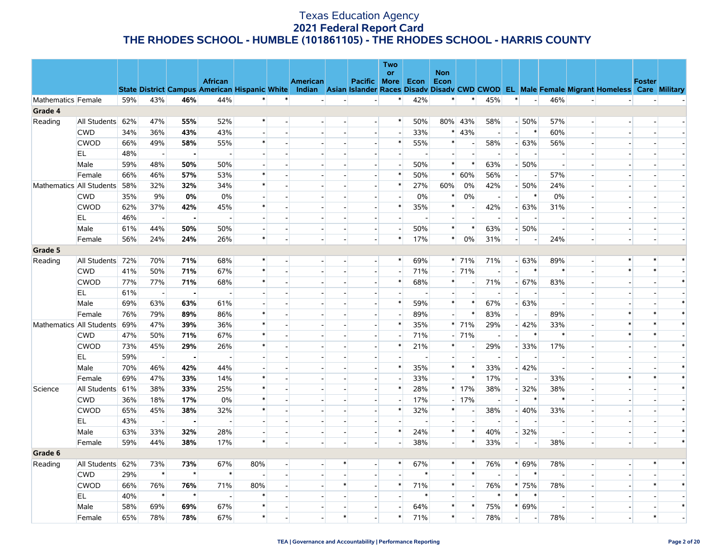|                    |                          |     |                          |                |                                                      |                          |        |                 |                          |                          | <b>Two</b><br><b>or</b>  |                          | <b>Non</b>               |                          |                          |                          |                          |                          |                          |                                                                                                  |               |        |
|--------------------|--------------------------|-----|--------------------------|----------------|------------------------------------------------------|--------------------------|--------|-----------------|--------------------------|--------------------------|--------------------------|--------------------------|--------------------------|--------------------------|--------------------------|--------------------------|--------------------------|--------------------------|--------------------------|--------------------------------------------------------------------------------------------------|---------------|--------|
|                    |                          |     |                          |                | <b>African</b>                                       |                          |        | <b>American</b> |                          | Pacific More             |                          | Econ                     | Econ                     |                          |                          |                          |                          |                          |                          |                                                                                                  | <b>Foster</b> |        |
|                    |                          |     |                          |                | <b>State District Campus American Hispanic White</b> |                          |        |                 |                          |                          |                          |                          |                          |                          |                          |                          |                          |                          |                          | Indian Asian Islander Races Disady Disady CWD CWOD EL Male Female Migrant Homeless Care Military |               |        |
| Mathematics Female |                          | 59% | 43%                      | 46%            | 44%                                                  | $\ast$                   |        |                 |                          | $\overline{a}$           | $\ast$                   | 42%                      | $\ast$                   | $\ast$                   | 45%                      | $\ast$                   | $\blacksquare$           | 46%                      |                          |                                                                                                  |               |        |
| Grade 4            |                          |     |                          |                |                                                      |                          |        |                 |                          |                          |                          |                          |                          |                          |                          |                          |                          |                          |                          |                                                                                                  |               |        |
| Reading            | All Students             | 62% | 47%                      | 55%            | 52%                                                  | $\ast$                   |        | $\overline{a}$  | $\sim$                   | $\overline{\phantom{a}}$ | *                        | 50%                      |                          | 80% 43%                  | 58%                      |                          | $-50%$                   | 57%                      | $\overline{\phantom{a}}$ |                                                                                                  |               |        |
|                    | <b>CWD</b>               | 34% | 36%                      | 43%            | 43%                                                  | $\overline{a}$           |        |                 | $\overline{\phantom{a}}$ | $\overline{a}$           | $\overline{a}$           | 33%                      | $\ast$                   | 43%                      | $\sim$                   | $\overline{a}$           | $\ast$                   | 60%                      | $\overline{a}$           |                                                                                                  |               |        |
|                    | <b>CWOD</b>              | 66% | 49%                      | 58%            | 55%                                                  | $\ast$                   |        |                 |                          |                          | $\ast$                   | 55%                      | $\ast$                   |                          | 58%                      |                          | $-63%$                   | 56%                      |                          |                                                                                                  |               |        |
|                    | EL.                      | 48% | $\overline{\phantom{a}}$ | $\blacksquare$ | $\overline{\phantom{a}}$                             | $\overline{\phantom{a}}$ |        |                 |                          | $\overline{\phantom{a}}$ | $\overline{\phantom{a}}$ | $\overline{\phantom{a}}$ | $\overline{\phantom{a}}$ |                          | $\overline{\phantom{a}}$ | $\overline{\phantom{a}}$ | $\overline{\phantom{a}}$ | $\overline{\phantom{a}}$ |                          |                                                                                                  |               |        |
|                    | Male                     | 59% | 48%                      | 50%            | 50%                                                  |                          |        |                 |                          |                          |                          | 50%                      | $\ast$                   | $\ast$                   | 63%                      |                          | $-50%$                   | $\blacksquare$           |                          |                                                                                                  |               |        |
|                    | Female                   | 66% | 46%                      | 57%            | 53%                                                  | $\ast$                   |        |                 |                          | $\overline{\phantom{a}}$ | $\ast$                   | 50%                      | $\ast$                   | 60%                      | 56%                      | $\overline{\phantom{0}}$ | $\overline{\phantom{a}}$ | 57%                      | $\overline{\phantom{a}}$ |                                                                                                  |               |        |
|                    | Mathematics All Students | 58% | 32%                      | 32%            | 34%                                                  | $\ast$                   |        |                 |                          | $\overline{a}$           | $\ast$                   | 27%                      | 60%                      | 0%                       | 42%                      |                          | $-50%$                   | 24%                      | $\overline{a}$           |                                                                                                  |               |        |
|                    | <b>CWD</b>               | 35% | 9%                       | 0%             | 0%                                                   | $\overline{\phantom{a}}$ |        |                 |                          | $\overline{\phantom{a}}$ | $\overline{\phantom{a}}$ | 0%                       | $\ast$                   | 0%                       |                          |                          | $\ast$                   | 0%                       | $\overline{\phantom{a}}$ |                                                                                                  |               |        |
|                    | <b>CWOD</b>              | 62% | 37%                      | 42%            | 45%                                                  | $\ast$                   |        |                 | $\overline{a}$           | $\overline{\phantom{a}}$ | $\ast$                   | 35%                      | $\ast$                   | $\overline{\phantom{a}}$ | 42%                      |                          | $-63%$                   | 31%                      |                          |                                                                                                  |               |        |
|                    | EL.                      | 46% | $\sim$                   |                |                                                      | $\blacksquare$           |        |                 |                          |                          |                          |                          | $\overline{a}$           |                          |                          |                          | $\overline{a}$           | $\overline{\phantom{a}}$ |                          |                                                                                                  |               |        |
|                    | Male                     | 61% | 44%                      | 50%            | 50%                                                  | $\overline{\phantom{a}}$ |        |                 | $\overline{\phantom{a}}$ | $\sim$                   |                          | 50%                      | $\ast$                   | $\ast$                   | 63%                      |                          | $-50%$                   | $\overline{\phantom{a}}$ | $\overline{\phantom{a}}$ |                                                                                                  |               |        |
|                    | Female                   | 56% | 24%                      | 24%            | 26%                                                  | $\ast$                   |        |                 |                          |                          | $\ast$                   | 17%                      | $\ast$                   | 0%                       | 31%                      |                          |                          | 24%                      |                          |                                                                                                  |               |        |
| Grade 5            |                          |     |                          |                |                                                      |                          |        |                 |                          |                          |                          |                          |                          |                          |                          |                          |                          |                          |                          |                                                                                                  |               |        |
| Reading            | All Students             | 72% | 70%                      | 71%            | 68%                                                  | $\ast$                   |        |                 | $\overline{\phantom{a}}$ | $\overline{\phantom{a}}$ | $\ast$                   | 69%                      |                          | $* 71%$                  | 71%                      |                          | $-63%$                   | 89%                      | $\overline{a}$           | $\ast$                                                                                           |               |        |
|                    | <b>CWD</b>               | 41% | 50%                      | 71%            | 67%                                                  | $\ast$                   |        |                 | $\overline{\phantom{a}}$ | $\sim$                   | $\overline{\phantom{a}}$ | 71%                      |                          | $-71%$                   |                          |                          | $\ast$                   | $\ast$                   | $\overline{\phantom{a}}$ |                                                                                                  |               |        |
|                    | <b>CWOD</b>              | 77% | 77%                      | 71%            | 68%                                                  | $\ast$                   |        |                 | $\overline{a}$           | $\overline{a}$           | $\ast$                   | 68%                      | $\ast$                   |                          | 71%                      |                          | $-67%$                   | 83%                      |                          |                                                                                                  |               | $\ast$ |
|                    | EL.                      | 61% | $\sim$                   |                |                                                      | $\blacksquare$           |        |                 |                          | $\overline{\phantom{a}}$ |                          |                          | $\blacksquare$           |                          |                          |                          | $\sim$                   | $\overline{\phantom{a}}$ |                          |                                                                                                  |               |        |
|                    | Male                     | 69% | 63%                      | 63%            | 61%                                                  | $\blacksquare$           |        |                 |                          | $\overline{\phantom{a}}$ | $\ast$                   | 59%                      | $\ast$                   | $\ast$                   | 67%                      |                          | $-63%$                   | $\overline{\phantom{a}}$ |                          |                                                                                                  |               | $\ast$ |
|                    | Female                   | 76% | 79%                      | 89%            | 86%                                                  | $\ast$                   |        |                 |                          |                          |                          | 89%                      | $\sim$                   | $\ast$                   | 83%                      | $\overline{\phantom{a}}$ | $\sim$                   | 89%                      |                          |                                                                                                  |               | $\ast$ |
|                    | Mathematics All Students | 69% | 47%                      | 39%            | 36%                                                  | $\ast$                   |        |                 |                          | $\overline{\phantom{a}}$ | $\ast$                   | 35%                      |                          | $* 71%$                  | 29%                      |                          | $-42%$                   | 33%                      |                          |                                                                                                  |               | $\ast$ |
|                    | <b>CWD</b>               | 47% | 50%                      | 71%            | 67%                                                  | $\ast$                   |        |                 |                          |                          |                          | 71%                      |                          | $-71%$                   |                          | ٠                        | $\ast$                   | $\ast$                   | $\overline{a}$           |                                                                                                  |               |        |
|                    | <b>CWOD</b>              | 73% | 45%                      | 29%            | 26%                                                  | $\ast$                   |        |                 |                          |                          | $\ast$                   | 21%                      | $\ast$                   |                          | 29%                      |                          | $-33%$                   | 17%                      |                          |                                                                                                  |               | $\ast$ |
|                    | EL                       | 59% | $\sim$                   | $\blacksquare$ | $\overline{\phantom{a}}$                             | $\overline{\phantom{a}}$ |        |                 |                          | $\overline{a}$           |                          | $\overline{\phantom{a}}$ | $\sim$                   |                          | $\overline{\phantom{a}}$ | $\overline{\phantom{a}}$ | $\overline{\phantom{a}}$ | $\overline{\phantom{a}}$ | $\overline{\phantom{a}}$ |                                                                                                  |               |        |
|                    | Male                     | 70% | 46%                      | 42%            | 44%                                                  | $\blacksquare$           |        |                 |                          | $\overline{\phantom{a}}$ | *                        | 35%                      | $\ast$                   | $\ast$                   | 33%                      |                          | $-42%$                   | $\overline{\phantom{a}}$ |                          |                                                                                                  |               | $\ast$ |
|                    | Female                   | 69% | 47%                      | 33%            | 14%                                                  | $\ast$                   |        |                 |                          | $\overline{\phantom{a}}$ |                          | 33%                      | $\sim$                   | $\ast$                   | 17%                      | $\overline{a}$           | $\sim$                   | 33%                      |                          |                                                                                                  |               | $\ast$ |
| Science            | All Students             | 61% | 38%                      | 33%            | 25%                                                  | $\ast$                   |        |                 |                          |                          | $\ast$                   | 28%                      |                          | $*17%$                   | 38%                      |                          | $-32%$                   | 38%                      |                          |                                                                                                  |               | $\ast$ |
|                    | <b>CWD</b>               | 36% | 18%                      | 17%            | 0%                                                   | $\ast$                   |        |                 |                          | $\overline{a}$           | $\overline{\phantom{a}}$ | 17%                      |                          | $-17%$                   | $\sim$                   | $\overline{\phantom{a}}$ | $\ast$                   | $\ast$                   |                          |                                                                                                  |               |        |
|                    | <b>CWOD</b>              | 65% | 45%                      | 38%            | 32%                                                  | $\ast$                   |        |                 |                          |                          | $\ast$                   | 32%                      | $\ast$                   |                          | 38%                      |                          | $-40%$                   | 33%                      |                          |                                                                                                  |               | $\ast$ |
|                    | EL.                      | 43% | $\overline{\phantom{a}}$ |                |                                                      | $\overline{\phantom{a}}$ |        |                 |                          | $\overline{\phantom{a}}$ |                          |                          | $\overline{\phantom{a}}$ |                          |                          |                          | $\overline{\phantom{a}}$ | $\overline{\phantom{a}}$ | $\overline{\phantom{a}}$ |                                                                                                  |               |        |
|                    | Male                     | 63% | 33%                      | 32%            | 28%                                                  | $\sim$                   |        |                 | $\overline{a}$           | $\overline{a}$           | $\ast$                   | 24%                      | $\ast$                   | $\ast$                   | 40%                      |                          | $-32%$                   | $\overline{\phantom{a}}$ | ÷                        |                                                                                                  |               | $\ast$ |
|                    | Female                   | 59% | 44%                      | 38%            | 17%                                                  | $\ast$                   |        |                 | $\overline{\phantom{a}}$ | $\overline{\phantom{a}}$ | $\overline{\phantom{a}}$ | 38%                      | $\overline{\phantom{a}}$ | $\ast$                   | 33%                      | $\overline{\phantom{0}}$ | $\overline{\phantom{a}}$ | 38%                      | $\overline{\phantom{a}}$ |                                                                                                  |               | $\ast$ |
| Grade 6            |                          |     |                          |                |                                                      |                          |        |                 |                          |                          |                          |                          |                          |                          |                          |                          |                          |                          |                          |                                                                                                  |               |        |
| Reading            | All Students 62%         |     | 73%                      | 73%            | 67%                                                  | 80%                      | $\sim$ |                 | $\ast$                   | $\blacksquare$           | $\ast$                   | 67%                      | $\ast$                   | $\ast$                   | 76%                      |                          | $* 69%$                  | 78%                      | $\blacksquare$           |                                                                                                  |               | $\ast$ |
|                    | <b>CWD</b>               | 29% | $\ast$                   | $\star$        | $\ast$                                               | $\overline{a}$           |        |                 | $\overline{a}$           | $\overline{a}$           |                          | $\ast$                   | $\overline{\phantom{a}}$ | $\ast$                   | $\overline{a}$           | $\overline{\phantom{a}}$ | $\ast$                   | $\overline{\phantom{a}}$ | $\overline{a}$           |                                                                                                  |               |        |
|                    | <b>CWOD</b>              | 66% | 76%                      | 76%            | 71%                                                  | 80%                      |        |                 | $\ast$                   |                          | $\ast$                   | 71%                      | $\ast$                   |                          | 76%                      |                          | * 75%                    | 78%                      |                          |                                                                                                  |               | $\ast$ |
|                    | EL                       | 40% | $\ast$                   | $\star$        | $\sim$                                               | $\ast$                   |        |                 |                          | $\overline{\phantom{a}}$ |                          | $\ast$                   | $\blacksquare$           |                          | $\ast$                   | $\ast$                   | $\ast$                   | $\overline{\phantom{a}}$ |                          |                                                                                                  |               |        |
|                    | Male                     | 58% | 69%                      | 69%            | 67%                                                  | $\ast$                   |        |                 |                          | $\overline{a}$           |                          | 64%                      | $\ast$                   | $\ast$                   | 75%                      |                          | * 69%                    | $\overline{\phantom{a}}$ | ÷                        |                                                                                                  |               | $\ast$ |
|                    | Female                   | 65% | 78%                      | 78%            | 67%                                                  | $\ast$                   |        |                 | $\ast$                   | $\blacksquare$           | $\ast$                   | 71%                      | $\ast$                   |                          | 78%                      | $\overline{a}$           | $\overline{\phantom{a}}$ | 78%                      | $\overline{\phantom{a}}$ |                                                                                                  |               |        |
|                    |                          |     |                          |                |                                                      |                          |        |                 |                          |                          |                          |                          |                          |                          |                          |                          |                          |                          |                          |                                                                                                  |               |        |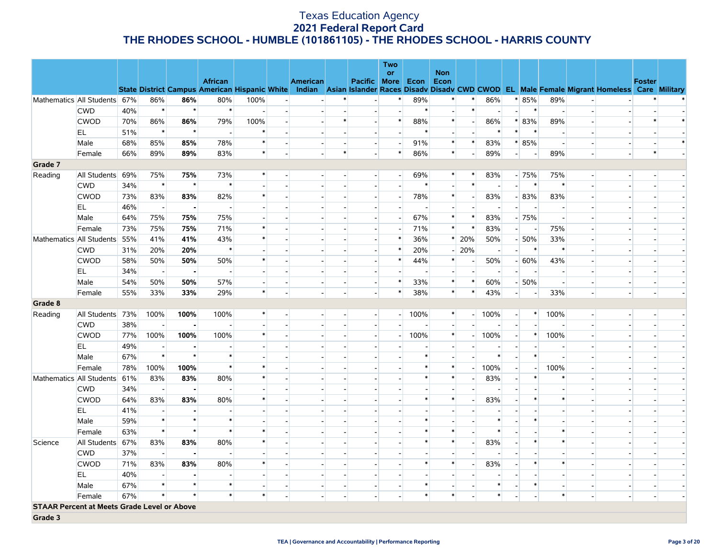|         |                                                    |     |                          |                |                                                      |                          |                |                          |                          |                          | <b>Two</b>               |                          |                |                          |                          |                          |                          |                          |                          |                                                                                                  |               |        |
|---------|----------------------------------------------------|-----|--------------------------|----------------|------------------------------------------------------|--------------------------|----------------|--------------------------|--------------------------|--------------------------|--------------------------|--------------------------|----------------|--------------------------|--------------------------|--------------------------|--------------------------|--------------------------|--------------------------|--------------------------------------------------------------------------------------------------|---------------|--------|
|         |                                                    |     |                          |                | <b>African</b>                                       |                          |                |                          |                          |                          | or                       |                          | <b>Non</b>     |                          |                          |                          |                          |                          |                          |                                                                                                  |               |        |
|         |                                                    |     |                          |                | <b>State District Campus American Hispanic White</b> |                          |                | <b>American</b>          |                          | Pacific More             |                          | Econ                     | Econ           |                          |                          |                          |                          |                          |                          | Indian Asian Islander Races Disady Disady CWD CWOD EL Male Female Migrant Homeless Care Military | <b>Foster</b> |        |
|         | Mathematics All Students 67%                       |     | 86%                      | 86%            | 80%                                                  | 100%                     |                |                          |                          | $\blacksquare$           | $\ast$                   | 89%                      | $\ast$         | $\ast$                   | 86%                      |                          | $* 85%$                  | 89%                      |                          |                                                                                                  |               |        |
|         | <b>CWD</b>                                         | 40% | $\ast$                   | $\star$        | $\ast$                                               |                          |                |                          |                          | $\blacksquare$           | $\overline{\phantom{a}}$ | $\ast$                   |                | $\ast$                   |                          | $\overline{\phantom{a}}$ | $\ast$                   | $\sim$                   |                          |                                                                                                  |               |        |
|         | <b>CWOD</b>                                        | 70% | 86%                      | 86%            | 79%                                                  | 100%                     | ÷,             |                          | $\ast$                   | $\overline{\phantom{a}}$ | $\ast$                   | 88%                      | $\ast$         | $\overline{a}$           | 86%                      | $\ast$                   | 83%                      | 89%                      | $\overline{a}$           |                                                                                                  |               | $\ast$ |
|         | EL                                                 | 51% | $\ast$                   | $\star$        |                                                      | $\ast$                   |                |                          |                          |                          | $\overline{a}$           | $\ast$                   | $\overline{a}$ |                          | $\ast$                   | $\ast$                   | $\ast$                   | $\overline{\phantom{a}}$ |                          |                                                                                                  |               |        |
|         | Male                                               | 68% | 85%                      | 85%            | 78%                                                  | $\ast$                   |                |                          | $\overline{\phantom{a}}$ | $\overline{\phantom{a}}$ | $\blacksquare$           | 91%                      | $\ast$         | $\ast$                   | 83%                      |                          | $* 85%$                  | $\blacksquare$           | $\overline{\phantom{a}}$ |                                                                                                  |               | $\ast$ |
|         | Female                                             | 66% | 89%                      | 89%            | 83%                                                  | $\ast$                   |                |                          | $\ast$                   | $\overline{a}$           | $\ast$                   | 86%                      | $\ast$         |                          | 89%                      | $\overline{a}$           | $\blacksquare$           | 89%                      | $\overline{a}$           |                                                                                                  | $\ast$        |        |
| Grade 7 |                                                    |     |                          |                |                                                      |                          |                |                          |                          |                          |                          |                          |                |                          |                          |                          |                          |                          |                          |                                                                                                  |               |        |
| Reading | All Students                                       | 69% | 75%                      | 75%            | 73%                                                  | $\ast$                   | $\overline{a}$ | $\overline{\phantom{a}}$ | $\sim$                   | $\overline{a}$           | $\overline{a}$           | 69%                      | $\ast$         | $\ast$                   | 83%                      |                          | $-75%$                   | 75%                      | $\overline{a}$           | $\overline{a}$                                                                                   |               |        |
|         | <b>CWD</b>                                         | 34% | $\ast$                   | $\star$        | $\ast$                                               |                          |                |                          |                          | $\overline{\phantom{a}}$ | $\overline{\phantom{a}}$ | $\ast$                   |                | $\ast$                   |                          |                          | $\ast$                   | $\ast$                   | $\overline{\phantom{a}}$ |                                                                                                  |               |        |
|         | <b>CWOD</b>                                        | 73% | 83%                      | 83%            | 82%                                                  | $\ast$                   |                |                          | $\overline{\phantom{a}}$ | $\blacksquare$           | $\overline{a}$           | 78%                      | $\ast$         | $\overline{\phantom{a}}$ | 83%                      |                          | $-83%$                   | 83%                      | $\overline{a}$           |                                                                                                  |               |        |
|         | EL.                                                | 46% | $\overline{\phantom{a}}$ | $\blacksquare$ |                                                      | $\overline{a}$           |                |                          |                          | $\overline{a}$           | $\overline{a}$           | $\sim$                   | $\overline{a}$ |                          | $\overline{\phantom{a}}$ |                          | $\overline{\phantom{a}}$ | $\overline{a}$           |                          |                                                                                                  |               |        |
|         | Male                                               | 64% | 75%                      | 75%            | 75%                                                  | $\overline{\phantom{a}}$ |                |                          |                          | $\blacksquare$           | $\overline{\phantom{0}}$ | 67%                      | $\ast$         | $\ast$                   | 83%                      |                          | $-75%$                   | $\overline{\phantom{a}}$ | $\overline{a}$           |                                                                                                  |               |        |
|         | Female                                             | 73% | 75%                      | 75%            | 71%                                                  | $\ast$                   |                |                          |                          |                          | $\sim$                   | 71%                      | $\ast$         | $\ast$                   | 83%                      | $\overline{\phantom{a}}$ | $\overline{\phantom{a}}$ | 75%                      |                          |                                                                                                  |               |        |
|         | Mathematics All Students                           | 55% | 41%                      | 41%            | 43%                                                  | ∗                        |                |                          |                          | $\overline{\phantom{a}}$ | $\ast$                   | 36%                      | $\ast$         | 20%                      | 50%                      |                          | $-50%$                   | 33%                      | $\overline{\phantom{a}}$ |                                                                                                  |               |        |
|         | <b>CWD</b>                                         | 31% | 20%                      | 20%            | $\ast$                                               |                          |                |                          |                          |                          | $\ast$                   | 20%                      | $\overline{a}$ | 20%                      | $\overline{\phantom{a}}$ | $\overline{\phantom{a}}$ | $\ast$                   | $\ast$                   | $\overline{a}$           |                                                                                                  |               |        |
|         | <b>CWOD</b>                                        | 58% | 50%                      | 50%            | 50%                                                  | $\ast$                   |                |                          |                          |                          | $\ast$                   | 44%                      | $\ast$         |                          | 50%                      |                          | $-60%$                   | 43%                      | $\overline{\phantom{a}}$ |                                                                                                  |               |        |
|         | EL                                                 | 34% | $\overline{\phantom{a}}$ | $\blacksquare$ |                                                      |                          |                |                          |                          | $\overline{\phantom{a}}$ | $\overline{\phantom{a}}$ | $\overline{\phantom{a}}$ | $\sim$         |                          | $\overline{\phantom{a}}$ | $\overline{a}$           | $\overline{\phantom{a}}$ | $\overline{\phantom{a}}$ | $\overline{a}$           |                                                                                                  |               |        |
|         | Male                                               | 54% | 50%                      | 50%            | 57%                                                  | $\overline{\phantom{a}}$ |                | $\overline{\phantom{a}}$ | $\overline{\phantom{a}}$ | $\overline{\phantom{a}}$ | $\ast$                   | 33%                      | $\ast$         | $\ast$                   | 60%                      |                          | $-50%$                   | $\blacksquare$           | $\overline{\phantom{a}}$ |                                                                                                  |               |        |
|         | Female                                             | 55% | 33%                      | 33%            | 29%                                                  | $\ast$                   |                |                          | $\overline{\phantom{a}}$ | $\overline{a}$           | $\ast$                   | 38%                      | $\ast$         | $\ast$                   | 43%                      | $\overline{\phantom{a}}$ | $\overline{\phantom{a}}$ | 33%                      | $\sim$                   | $\overline{\phantom{a}}$                                                                         |               |        |
| Grade 8 |                                                    |     |                          |                |                                                      |                          |                |                          |                          |                          |                          |                          |                |                          |                          |                          |                          |                          |                          |                                                                                                  |               |        |
| Reading | All Students                                       | 73% | 100%                     | 100%           | 100%                                                 | ∗                        |                | $\overline{\phantom{a}}$ | $\overline{\phantom{a}}$ | $\blacksquare$           |                          | $-100%$                  | $\ast$         | $\overline{a}$           | 100%                     | $\overline{a}$           | $\ast$                   | 100%                     | $\overline{a}$           |                                                                                                  |               |        |
|         | <b>CWD</b>                                         | 38% | $\overline{\phantom{a}}$ |                |                                                      |                          |                |                          |                          | $\overline{a}$           |                          |                          |                |                          |                          |                          |                          |                          | $\overline{a}$           |                                                                                                  |               |        |
|         | <b>CWOD</b>                                        | 77% | 100%                     | 100%           | 100%                                                 | $\ast$                   |                |                          | $\overline{\phantom{a}}$ | $\blacksquare$           | $\overline{a}$           | 100%                     | $\ast$         |                          | 100%                     | $\overline{a}$           | $\ast$                   | 100%                     | $\blacksquare$           |                                                                                                  |               |        |
|         | EL                                                 | 49% | $\blacksquare$           |                |                                                      |                          |                |                          |                          |                          |                          |                          |                |                          |                          |                          |                          |                          |                          |                                                                                                  |               |        |
|         | Male                                               | 67% | $\ast$                   | $\star$        | $\ast$                                               |                          |                |                          |                          |                          |                          | $\ast$                   |                |                          | $\ast$                   | $\overline{a}$           | $\ast$                   | $\blacksquare$           | $\overline{\phantom{a}}$ |                                                                                                  |               |        |
|         | Female                                             | 78% | 100%                     | 100%           | $\ast$                                               | $\ast$                   |                |                          |                          |                          |                          | $\ast$                   | $\ast$         |                          | 100%                     | $\overline{\phantom{a}}$ | $\overline{\phantom{a}}$ | 100%                     |                          |                                                                                                  |               |        |
|         | Mathematics All Students                           | 61% | 83%                      | 83%            | 80%                                                  | $\ast$                   |                |                          |                          |                          | $\overline{\phantom{a}}$ | $\ast$                   | $\ast$         |                          | 83%                      | $\blacksquare$           | $\ast$                   | $\ast$                   | $\overline{\phantom{a}}$ |                                                                                                  |               |        |
|         | <b>CWD</b>                                         | 34% | $\overline{\phantom{a}}$ | $\blacksquare$ |                                                      |                          |                |                          |                          |                          |                          |                          |                |                          |                          |                          |                          |                          | $\overline{a}$           |                                                                                                  |               |        |
|         | <b>CWOD</b>                                        | 64% | 83%                      | 83%            | 80%                                                  | ∗                        |                |                          |                          |                          | $\overline{\phantom{a}}$ | $\ast$                   | $\ast$         |                          | 83%                      |                          | $\ast$                   | $\ast$                   | $\overline{\phantom{a}}$ |                                                                                                  |               |        |
|         | EL                                                 | 41% | $\overline{\phantom{a}}$ | $\blacksquare$ |                                                      |                          |                |                          |                          |                          | $\overline{\phantom{a}}$ |                          |                |                          |                          |                          |                          | $\overline{\phantom{a}}$ | $\overline{\phantom{a}}$ |                                                                                                  |               |        |
|         | Male                                               | 59% | $\ast$                   | $\star$        | $\ast$                                               |                          |                |                          |                          |                          | $\overline{\phantom{a}}$ | $\ast$                   |                |                          | $\ast$                   |                          | $\ast$                   |                          |                          |                                                                                                  |               |        |
|         | Female                                             | 63% | $\ast$                   | $\star$        | $\ast$                                               | $\ast$                   |                |                          |                          |                          | $\sim$                   | $\ast$                   | $\ast$         |                          | $\ast$                   | $\overline{\phantom{a}}$ |                          | $\ast$                   | $\overline{a}$           |                                                                                                  |               |        |
| Science | All Students                                       | 67% | 83%                      | 83%            | 80%                                                  | $\ast$                   |                |                          |                          |                          | $\blacksquare$           | $\ast$                   | $\ast$         |                          | 83%                      |                          | $\ast$                   | $\ast$                   |                          |                                                                                                  |               |        |
|         | <b>CWD</b>                                         | 37% | $\sim$                   | $\blacksquare$ |                                                      |                          |                |                          |                          |                          | $\overline{\phantom{a}}$ |                          |                |                          |                          | $\overline{a}$           | $\overline{a}$           | $\overline{a}$           | $\overline{a}$           |                                                                                                  |               |        |
|         | <b>CWOD</b>                                        | 71% | 83%                      | 83%            | 80%                                                  | $\ast$                   |                |                          |                          |                          |                          | $\ast$                   | $\ast$         |                          | 83%                      |                          | $\ast$                   | $\ast$                   |                          |                                                                                                  |               |        |
|         | EL.                                                | 40% | $\overline{\phantom{a}}$ | $\blacksquare$ |                                                      |                          |                |                          |                          |                          | $\overline{\phantom{a}}$ |                          |                |                          |                          |                          |                          |                          |                          |                                                                                                  |               |        |
|         | Male                                               | 67% | $\ast$                   | $\star$        | $\ast$                                               |                          |                |                          |                          |                          | $\overline{a}$           | $\ast$                   |                |                          | $\ast$                   |                          | $\ast$                   | $\overline{\phantom{a}}$ | $\overline{a}$           |                                                                                                  |               |        |
|         | Female                                             | 67% | $\ast$                   |                | $\ast$                                               | $\ast$                   |                |                          |                          |                          | $\blacksquare$           | $\ast$                   | $\ast$         |                          | $\ast$                   |                          | $\overline{a}$           | $\ast$                   | $\blacksquare$           |                                                                                                  |               |        |
|         | <b>STAAR Percent at Meets Grade Level or Above</b> |     |                          |                |                                                      |                          |                |                          |                          |                          |                          |                          |                |                          |                          |                          |                          |                          |                          |                                                                                                  |               |        |
| Grade 3 |                                                    |     |                          |                |                                                      |                          |                |                          |                          |                          |                          |                          |                |                          |                          |                          |                          |                          |                          |                                                                                                  |               |        |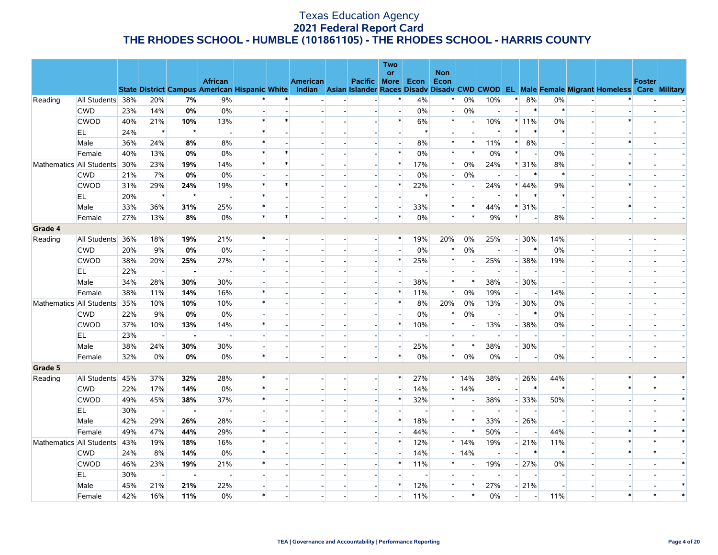|         |                          |     |                          |                |                                                                        |                          |                |                 |                          |                          | Two                      |                          |                          |        |                          |                          |                          |                          |                          |                                                                                                  |               |        |
|---------|--------------------------|-----|--------------------------|----------------|------------------------------------------------------------------------|--------------------------|----------------|-----------------|--------------------------|--------------------------|--------------------------|--------------------------|--------------------------|--------|--------------------------|--------------------------|--------------------------|--------------------------|--------------------------|--------------------------------------------------------------------------------------------------|---------------|--------|
|         |                          |     |                          |                |                                                                        |                          |                |                 |                          |                          | <b>or</b>                |                          | <b>Non</b>               |        |                          |                          |                          |                          |                          |                                                                                                  |               |        |
|         |                          |     |                          |                | <b>African</b><br><b>State District Campus American Hispanic White</b> |                          |                | <b>American</b> |                          | Pacific More             |                          | Econ                     | Econ                     |        |                          |                          |                          |                          |                          | Indian Asian Islander Races Disady Disady CWD CWOD EL Male Female Migrant Homeless Care Military | <b>Foster</b> |        |
| Reading | All Students 38%         |     | 20%                      | 7%             | 9%                                                                     | $\ast$                   |                |                 |                          |                          |                          | 4%                       | $\ast$                   | 0%     | 10%                      | $\ast$                   | 8%                       | 0%                       |                          |                                                                                                  |               |        |
|         | <b>CWD</b>               | 23% | 14%                      | 0%             | 0%                                                                     | $\sim$                   |                |                 |                          | $\overline{a}$           | $\overline{\phantom{a}}$ | 0%                       | $\sim$                   | 0%     | $\blacksquare$           | $\overline{\phantom{a}}$ | $\ast$                   | $\ast$                   | $\sim$                   |                                                                                                  |               |        |
|         | <b>CWOD</b>              | 40% | 21%                      | 10%            | 13%                                                                    | $\ast$                   |                |                 |                          |                          | *                        | 6%                       | $\ast$                   |        | 10%                      |                          | $*11\%$                  | 0%                       |                          |                                                                                                  |               |        |
|         | EL                       | 24% | $\ast$                   | $\star$        | $\sim$                                                                 | $\ast$                   |                |                 |                          | $\overline{a}$           |                          | $\ast$                   | $\sim$                   |        | $\ast$                   | $\ast$                   | $\ast$                   | $\ast$                   |                          |                                                                                                  |               |        |
|         | Male                     | 36% | 24%                      | 8%             | 8%                                                                     | $\ast$                   |                |                 |                          |                          | $\overline{\phantom{a}}$ | 8%                       | $\ast$                   | $\ast$ | 11%                      | $\ast$                   | 8%                       | $\overline{\phantom{a}}$ |                          |                                                                                                  |               |        |
|         | Female                   | 40% | 13%                      | 0%             | 0%                                                                     | $\ast$                   |                |                 |                          |                          | $\ast$                   | 0%                       | $\ast$                   | $\ast$ | 0%                       | $\ast$                   | $\overline{a}$           | 0%                       |                          |                                                                                                  |               |        |
|         | Mathematics All Students | 30% | 23%                      | 19%            | 14%                                                                    | $\ast$                   | $\ast$         |                 |                          | $\overline{a}$           | $\ast$                   | 17%                      | $\ast$                   | 0%     | 24%                      |                          | * 31%                    | 8%                       | $\overline{a}$           |                                                                                                  |               |        |
|         | <b>CWD</b>               | 21% | 7%                       | 0%             | 0%                                                                     | $\overline{\phantom{a}}$ |                |                 |                          |                          |                          | 0%                       | $\blacksquare$           | 0%     |                          |                          | $\ast$                   | $\ast$                   |                          |                                                                                                  |               |        |
|         | <b>CWOD</b>              | 31% | 29%                      | 24%            | 19%                                                                    | $\ast$                   | $\ast$         |                 |                          |                          | $\ast$                   | 22%                      | $\ast$                   |        | 24%                      |                          | $* 44%$                  | 9%                       |                          |                                                                                                  |               |        |
|         | EL                       | 20% | $\ast$                   | $\star$        |                                                                        | $\ast$                   |                |                 |                          | $\overline{\phantom{a}}$ |                          | $\ast$                   | $\overline{\phantom{a}}$ |        | $\ast$                   | $\ast$                   |                          | $\ast$                   |                          |                                                                                                  |               |        |
|         | Male                     | 33% | 36%                      | 31%            | 25%                                                                    | $\ast$                   |                |                 |                          | $\overline{\phantom{a}}$ | $\overline{\phantom{a}}$ | 33%                      | $\ast$                   | $\ast$ | 44%                      |                          | $* 31%$                  | $\blacksquare$           |                          |                                                                                                  |               |        |
|         | Female                   | 27% | 13%                      | 8%             | 0%                                                                     | $\ast$                   | $\ast$         |                 | $\overline{a}$           |                          | $\ast$                   | 0%                       | $\ast$                   | $\ast$ | 9%                       | $\ast$                   | $\overline{\phantom{a}}$ | 8%                       | $\blacksquare$           |                                                                                                  |               |        |
| Grade 4 |                          |     |                          |                |                                                                        |                          |                |                 |                          |                          |                          |                          |                          |        |                          |                          |                          |                          |                          |                                                                                                  |               |        |
| Reading | All Students             | 36% | 18%                      | 19%            | 21%                                                                    | $\ast$                   |                |                 |                          | $\overline{\phantom{a}}$ | $\ast$                   | 19%                      | 20%                      | $0\%$  | 25%                      |                          | $-30%$                   | 14%                      | $\overline{a}$           |                                                                                                  |               |        |
|         | <b>CWD</b>               | 20% | 9%                       | 0%             | 0%                                                                     | $\overline{\phantom{a}}$ |                |                 |                          | $\overline{\phantom{a}}$ |                          | $0\%$                    | $\ast$                   | $0\%$  | $\overline{\phantom{a}}$ | $\overline{\phantom{a}}$ | $\ast$                   | 0%                       | $\overline{\phantom{a}}$ |                                                                                                  |               |        |
|         | <b>CWOD</b>              | 38% | 20%                      | 25%            | 27%                                                                    | $\ast$                   |                |                 |                          |                          | $\ast$                   | 25%                      | $\ast$                   |        | 25%                      |                          | $-38%$                   | 19%                      |                          |                                                                                                  |               |        |
|         | EL                       | 22% | $\sim$                   | $\blacksquare$ | $\overline{\phantom{a}}$                                               | $\blacksquare$           |                |                 |                          | $\overline{\phantom{a}}$ |                          | $\overline{\phantom{a}}$ | $\overline{\phantom{a}}$ |        | $\overline{\phantom{a}}$ | $\overline{a}$           | $\sim$                   | $\overline{\phantom{a}}$ | $\overline{a}$           |                                                                                                  |               |        |
|         | Male                     | 34% | 28%                      | 30%            | 30%                                                                    | $\overline{\phantom{a}}$ |                |                 |                          | $\overline{\phantom{a}}$ |                          | 38%                      | $\ast$                   | $\ast$ | 38%                      |                          | $-30%$                   | $\overline{\phantom{a}}$ |                          |                                                                                                  |               |        |
|         | Female                   | 38% | 11%                      | 14%            | 16%                                                                    | $\ast$                   |                |                 |                          |                          | *                        | 11%                      | $\ast$                   | 0%     | 19%                      | $\overline{\phantom{a}}$ | $\overline{\phantom{a}}$ | 14%                      |                          |                                                                                                  |               |        |
|         | Mathematics All Students | 35% | 10%                      | 10%            | 10%                                                                    | $\ast$                   |                |                 |                          | $\overline{\phantom{a}}$ | $\ast$                   | 8%                       | 20%                      | 0%     | 13%                      |                          | $-30%$                   | 0%                       |                          |                                                                                                  |               |        |
|         | <b>CWD</b>               | 22% | 9%                       | 0%             | 0%                                                                     | $\blacksquare$           |                |                 |                          |                          |                          | 0%                       | $\ast$                   | 0%     |                          |                          | $\ast$                   | 0%                       |                          |                                                                                                  |               |        |
|         | <b>CWOD</b>              | 37% | 10%                      | 13%            | 14%                                                                    | $\ast$                   |                |                 |                          | $\overline{a}$           | $\ast$                   | 10%                      | $\ast$                   |        | 13%                      |                          | $-38%$                   | 0%                       |                          |                                                                                                  |               |        |
|         | EL.                      | 23% | $\overline{\phantom{a}}$ |                |                                                                        | $\overline{\phantom{a}}$ |                |                 |                          | $\overline{\phantom{a}}$ |                          |                          | $\overline{\phantom{a}}$ |        |                          |                          | $\overline{\phantom{a}}$ | $\overline{\phantom{a}}$ |                          |                                                                                                  |               |        |
|         | Male                     | 38% | 24%                      | 30%            | 30%                                                                    | $\sim$                   |                |                 |                          |                          |                          | 25%                      | $\ast$                   | $\ast$ | 38%                      |                          | $-30%$                   | $\overline{\phantom{a}}$ |                          |                                                                                                  |               |        |
|         | Female                   | 32% | 0%                       | 0%             | 0%                                                                     | $\ast$                   | $\blacksquare$ |                 | $\sim$                   | $\blacksquare$           | $\ast$                   | 0%                       | $\ast$                   | 0%     | 0%                       | $\overline{\phantom{0}}$ | $\overline{\phantom{a}}$ | 0%                       | $\overline{\phantom{a}}$ |                                                                                                  |               |        |
| Grade 5 |                          |     |                          |                |                                                                        |                          |                |                 |                          |                          |                          |                          |                          |        |                          |                          |                          |                          |                          |                                                                                                  |               |        |
| Reading | All Students             | 45% | 37%                      | 32%            | 28%                                                                    | $\ast$                   | $\overline{a}$ | $\overline{a}$  | $\overline{\phantom{a}}$ | $\sim$                   | $\ast$                   | 27%                      |                          | $*14%$ | 38%                      |                          | $-26%$                   | 44%                      | $\overline{a}$           | $\ast$                                                                                           | $\ast$        | $\ast$ |
|         | <b>CWD</b>               | 22% | 17%                      | 14%            | 0%                                                                     | $\ast$                   |                |                 | $\overline{\phantom{a}}$ | $\overline{\phantom{a}}$ |                          | 14%                      |                          | $-14%$ |                          |                          | $\ast$                   | $\ast$                   | $\overline{\phantom{a}}$ |                                                                                                  |               |        |
|         | <b>CWOD</b>              | 49% | 45%                      | 38%            | 37%                                                                    | $\ast$                   |                |                 |                          | $\overline{a}$           | $\ast$                   | 32%                      | $\ast$                   |        | 38%                      |                          | $-33%$                   | 50%                      |                          |                                                                                                  |               | $\ast$ |
|         | EL                       | 30% | $\sim$                   | $\blacksquare$ | $\sim$                                                                 | $\overline{\phantom{a}}$ |                |                 |                          | $\overline{a}$           |                          | $\overline{a}$           | $\blacksquare$           |        | $\overline{a}$           | $\overline{\phantom{a}}$ | $\sim$                   | $\overline{\phantom{a}}$ |                          |                                                                                                  |               |        |
|         | Male                     | 42% | 29%                      | 26%            | 28%                                                                    | $\blacksquare$           |                |                 |                          |                          | $\ast$                   | 18%                      | $\ast$                   | $\ast$ | 33%                      |                          | $-26%$                   | $\sim$                   |                          |                                                                                                  |               |        |
|         | Female                   | 49% | 47%                      | 44%            | 29%                                                                    | $\ast$                   |                |                 |                          |                          |                          | 44%                      | $\overline{\phantom{a}}$ | $\ast$ | 50%                      | H                        | $\overline{\phantom{a}}$ | 44%                      | $\sim$                   |                                                                                                  |               | $\ast$ |
|         | Mathematics All Students | 43% | 19%                      | 18%            | 16%                                                                    | $\ast$                   |                |                 |                          | $\overline{\phantom{a}}$ | *                        | 12%                      |                          | $*14%$ | 19%                      |                          | $-21%$                   | 11%                      | $\overline{\phantom{a}}$ |                                                                                                  |               |        |
|         | <b>CWD</b>               | 24% | 8%                       | 14%            | 0%                                                                     | $\ast$                   |                |                 |                          |                          |                          | 14%                      | $\overline{a}$           | 14%    |                          |                          | $\ast$                   | $\ast$                   |                          |                                                                                                  |               |        |
|         | <b>CWOD</b>              | 46% | 23%                      | 19%            | 21%                                                                    | $\ast$                   |                |                 |                          | $\blacksquare$           | $\ast$                   | 11%                      | $\ast$                   |        | 19%                      |                          | $-27%$                   | 0%                       |                          |                                                                                                  |               | $\ast$ |
|         | EL                       | 30% | $\overline{\phantom{a}}$ |                |                                                                        | $\overline{\phantom{a}}$ |                |                 |                          |                          |                          |                          |                          |        |                          |                          |                          | $\overline{\phantom{a}}$ |                          |                                                                                                  |               |        |
|         | Male                     | 45% | 21%                      | 21%            | 22%                                                                    | $\overline{\phantom{a}}$ |                |                 |                          | $\overline{a}$           | $\ast$                   | 12%                      | $\ast$                   | $\ast$ | 27%                      |                          | $-21%$                   | $\overline{\phantom{a}}$ | $\overline{a}$           |                                                                                                  |               | $\ast$ |
|         | Female                   | 42% | 16%                      | 11%            | 0%                                                                     | $\ast$                   |                |                 |                          |                          |                          | 11%                      |                          | $\ast$ | 0%                       |                          |                          | 11%                      |                          |                                                                                                  |               | $\ast$ |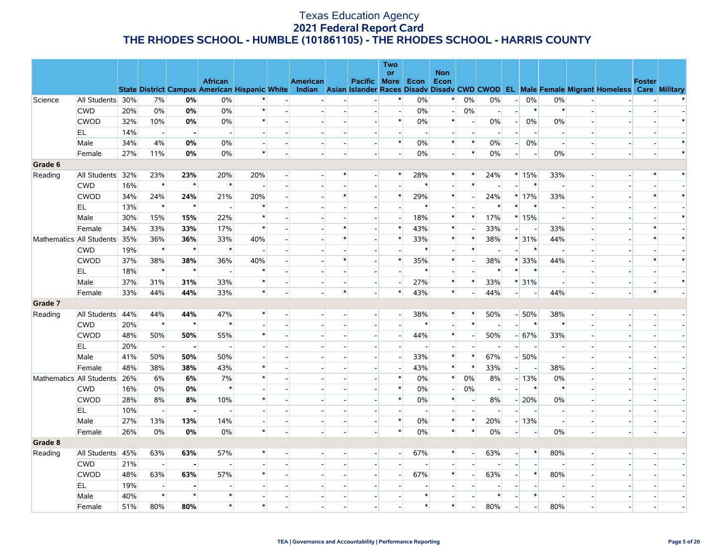|                          |                  |     |                          |                |                                                      |                          |                          |                          |                          |                          | Two<br>or                |                          | <b>Non</b>               |                          |                          |                          |                          |                          |                          |                                                                                                  |               |  |
|--------------------------|------------------|-----|--------------------------|----------------|------------------------------------------------------|--------------------------|--------------------------|--------------------------|--------------------------|--------------------------|--------------------------|--------------------------|--------------------------|--------------------------|--------------------------|--------------------------|--------------------------|--------------------------|--------------------------|--------------------------------------------------------------------------------------------------|---------------|--|
|                          |                  |     |                          |                | <b>African</b>                                       |                          |                          | American                 |                          | Pacific More             |                          | Econ                     | Econ                     |                          |                          |                          |                          |                          |                          |                                                                                                  | <b>Foster</b> |  |
|                          |                  |     |                          |                | <b>State District Campus American Hispanic White</b> |                          |                          |                          |                          |                          |                          |                          |                          |                          |                          |                          |                          |                          |                          | Indian Asian Islander Races Disady Disady CWD CWOD EL Male Female Migrant Homeless Care Military |               |  |
| Science                  | All Students 30% |     | 7%                       | 0%             | $0\%$                                                | $\ast$                   |                          |                          |                          | $\sim$                   | *                        | 0%                       | $\ast$                   | 0%                       | 0%                       | $\overline{a}$           | 0%                       | $0\%$                    |                          |                                                                                                  |               |  |
|                          | <b>CWD</b>       | 20% | 0%                       | 0%             | 0%                                                   | $\ast$                   |                          |                          |                          | $\blacksquare$           | $\overline{\phantom{a}}$ | 0%                       | $\overline{\phantom{a}}$ | $0\%$                    | $\overline{\phantom{a}}$ | $\overline{a}$           | $\ast$                   | $\ast$                   | $\overline{\phantom{a}}$ |                                                                                                  |               |  |
|                          | <b>CWOD</b>      | 32% | 10%                      | 0%             | 0%                                                   | $\ast$                   | $\overline{a}$           |                          | $\overline{a}$           | $\overline{\phantom{a}}$ | $\ast$                   | $0\%$                    | $\ast$                   |                          | $0\%$                    | $\overline{\phantom{a}}$ | 0%                       | $0\%$                    | $\overline{a}$           |                                                                                                  |               |  |
|                          | EL               | 14% | $\overline{\phantom{a}}$ |                |                                                      | $\blacksquare$           | $\overline{a}$           |                          | $\overline{a}$           | $\sim$                   | $\overline{a}$           | $\overline{\phantom{a}}$ | $\blacksquare$           |                          |                          |                          | $\overline{\phantom{a}}$ | $\overline{\phantom{a}}$ | $\overline{a}$           |                                                                                                  |               |  |
|                          | Male             | 34% | 4%                       | 0%             | 0%                                                   | $\overline{a}$           |                          |                          | $\overline{a}$           | $\overline{a}$           | $\ast$                   | $0\%$                    | $\ast$                   | $\ast$                   | 0%                       | $\overline{a}$           | 0%                       | $\sim$                   | $\overline{a}$           |                                                                                                  |               |  |
|                          | Female           | 27% | 11%                      | 0%             | 0%                                                   | $\ast$                   | $\blacksquare$           |                          | $\overline{\phantom{a}}$ | $\sim$                   | $\overline{\phantom{a}}$ | 0%                       | $\overline{\phantom{a}}$ | $\ast$                   | 0%                       | $\overline{a}$           | $\overline{\phantom{a}}$ | 0%                       | $\overline{\phantom{a}}$ |                                                                                                  |               |  |
| Grade 6                  |                  |     |                          |                |                                                      |                          |                          |                          |                          |                          |                          |                          |                          |                          |                          |                          |                          |                          |                          |                                                                                                  |               |  |
| Reading                  | All Students     | 32% | 23%                      | 23%            | 20%                                                  | 20%                      | $\overline{a}$           |                          | *                        | $\overline{\phantom{a}}$ | *                        | 28%                      | $\ast$                   | $\ast$                   | 24%                      |                          | $*15%$                   | 33%                      | $\overline{\phantom{a}}$ |                                                                                                  |               |  |
|                          | <b>CWD</b>       | 16% | $\ast$                   | $\star$        | $\ast$                                               |                          | $\overline{a}$           |                          |                          |                          |                          | $\ast$                   |                          | $\ast$                   |                          |                          | $\ast$                   | $\blacksquare$           | $\overline{a}$           |                                                                                                  |               |  |
|                          | <b>CWOD</b>      | 34% | 24%                      | 24%            | 21%                                                  | 20%                      | $\blacksquare$           |                          | *                        | $\overline{\phantom{a}}$ | *                        | 29%                      | $\ast$                   |                          | 24%                      |                          | $*17%$                   | 33%                      | $\overline{\phantom{a}}$ |                                                                                                  |               |  |
|                          | EL.              | 13% | $\ast$                   | $\star$        | $\overline{a}$                                       | $\ast$                   |                          |                          |                          | $\sim$                   | $\mathbf{r}$             | $\ast$                   | $\overline{a}$           |                          | $\ast$                   | $\ast$                   | $\ast$                   | $\overline{a}$           | $\overline{a}$           |                                                                                                  |               |  |
|                          | Male             | 30% | 15%                      | 15%            | 22%                                                  | $\ast$                   |                          |                          |                          | $\overline{\phantom{a}}$ |                          | 18%                      | $\ast$                   | $\ast$                   | 17%                      |                          | $*15%$                   | $\overline{\phantom{a}}$ | $\overline{\phantom{a}}$ |                                                                                                  |               |  |
|                          | Female           | 34% | 33%                      | 33%            | 17%                                                  | $\ast$                   |                          |                          | $\ast$                   | $\rightarrow$            | $\ast$                   | 43%                      | $\ast$                   |                          | 33%                      | $\overline{a}$           | $\overline{\phantom{a}}$ | 33%                      | $\overline{a}$           |                                                                                                  |               |  |
| Mathematics All Students |                  | 35% | 36%                      | 36%            | 33%                                                  | 40%                      |                          |                          | $\ast$                   |                          | $\ast$                   | 33%                      | $\ast$                   | $\ast$                   | 38%                      |                          | * 31%                    | 44%                      | $\overline{\phantom{a}}$ |                                                                                                  |               |  |
|                          | <b>CWD</b>       | 19% | $\ast$                   | $\star$        | $\ast$                                               | $\blacksquare$           |                          |                          |                          |                          | $\overline{a}$           | $\ast$                   | $\overline{\phantom{a}}$ | $\ast$                   |                          | H                        | $\ast$                   | $\overline{\phantom{a}}$ | $\overline{a}$           |                                                                                                  |               |  |
|                          | <b>CWOD</b>      | 37% | 38%                      | 38%            | 36%                                                  | 40%                      |                          |                          | $\ast$                   | $\overline{\phantom{a}}$ | $\ast$                   | 35%                      | $\ast$                   |                          | 38%                      | $\ast$                   | 33%                      | 44%                      | $\overline{\phantom{a}}$ |                                                                                                  |               |  |
|                          | EL               | 18% | $\ast$                   | $\star$        |                                                      | $\ast$                   |                          |                          |                          |                          | $\overline{a}$           | $\ast$                   | $\sim$                   |                          | $\ast$                   | $\ast$                   | $\ast$                   | $\overline{\phantom{a}}$ | $\overline{a}$           |                                                                                                  |               |  |
|                          | Male             | 37% | 31%                      | 31%            | 33%                                                  | $\ast$                   |                          |                          | $\overline{\phantom{a}}$ | $\overline{\phantom{0}}$ | $\overline{\phantom{a}}$ | 27%                      | $\ast$                   | $\ast$                   | 33%                      |                          | $* 31%$                  | $\overline{\phantom{a}}$ | $\overline{\phantom{a}}$ |                                                                                                  |               |  |
|                          | Female           | 33% | 44%                      | 44%            | 33%                                                  | $\ast$                   | $\overline{a}$           |                          | $\ast$                   | $\Box$                   | $\ast$                   | 43%                      | $\ast$                   |                          | 44%                      | $\overline{a}$           | $\overline{\phantom{a}}$ | 44%                      | $\overline{\phantom{a}}$ | $\overline{\phantom{a}}$                                                                         | $\ast$        |  |
| Grade 7                  |                  |     |                          |                |                                                      |                          |                          |                          |                          |                          |                          |                          |                          |                          |                          |                          |                          |                          |                          |                                                                                                  |               |  |
| Reading                  | All Students     | 44% | 44%                      | 44%            | 47%                                                  | $\ast$                   | $\overline{a}$           | $\overline{\phantom{a}}$ | $\overline{a}$           | $\overline{\phantom{a}}$ | $\overline{\phantom{a}}$ | 38%                      | $\ast$                   | $\ast$                   | 50%                      |                          | $-50%$                   | 38%                      | $\overline{\phantom{a}}$ |                                                                                                  |               |  |
|                          | <b>CWD</b>       | 20% | $\ast$                   | $\star$        | $\ast$                                               | $\blacksquare$           | $\blacksquare$           |                          | $\overline{\phantom{a}}$ | $\sim$                   |                          | $\ast$                   | $\overline{\phantom{a}}$ | $\ast$                   | $\blacksquare$           | $\overline{\phantom{a}}$ | $\ast$                   | $\ast$                   | $\overline{\phantom{a}}$ |                                                                                                  |               |  |
|                          | <b>CWOD</b>      | 48% | 50%                      | 50%            | 55%                                                  | $\ast$                   | ÷                        |                          |                          | $\blacksquare$           | $\blacksquare$           | 44%                      | $\ast$                   | $\sim$                   | 50%                      |                          | $-67%$                   | 33%                      | $\overline{a}$           |                                                                                                  |               |  |
|                          | EL.              | 20% | $\overline{\phantom{a}}$ |                |                                                      | $\overline{\phantom{a}}$ |                          |                          |                          | $\overline{\phantom{a}}$ | $\overline{\phantom{a}}$ | $\overline{\phantom{a}}$ | $\overline{\phantom{a}}$ |                          | $\overline{\phantom{a}}$ |                          | $\overline{\phantom{a}}$ | $\overline{\phantom{a}}$ |                          |                                                                                                  |               |  |
|                          | Male             | 41% | 50%                      | 50%            | 50%                                                  | $\overline{a}$           |                          |                          |                          | $\overline{a}$           | $\overline{a}$           | 33%                      | $\ast$                   | $\ast$                   | 67%                      |                          | $-50%$                   | $\overline{\phantom{a}}$ | $\overline{a}$           |                                                                                                  |               |  |
|                          | Female           | 48% | 38%                      | 38%            | 43%                                                  | $\ast$                   |                          |                          |                          | $\sim$                   | $\overline{\phantom{a}}$ | 43%                      | $\ast$                   | $\ast$                   | 33%                      | $\overline{a}$           | $\overline{\phantom{a}}$ | 38%                      |                          |                                                                                                  |               |  |
| Mathematics All Students |                  | 26% | 6%                       | 6%             | 7%                                                   | $\ast$                   |                          |                          |                          |                          | $\ast$                   | 0%                       | $\ast$                   | 0%                       | 8%                       |                          | $-13%$                   | 0%                       |                          |                                                                                                  |               |  |
|                          | <b>CWD</b>       | 16% | 0%                       | 0%             | $\ast$                                               | $\overline{\phantom{a}}$ |                          |                          | $\overline{\phantom{a}}$ | $\overline{\phantom{a}}$ | $\ast$                   | 0%                       | $\overline{\phantom{a}}$ | 0%                       | $\overline{\phantom{0}}$ |                          | $\ast$                   | $\ast$                   |                          |                                                                                                  |               |  |
|                          | <b>CWOD</b>      | 28% | 8%                       | 8%             | 10%                                                  | $\ast$                   |                          |                          |                          |                          | $\ast$                   | 0%                       | $\ast$                   |                          | 8%                       |                          | $-20%$                   | 0%                       |                          |                                                                                                  |               |  |
|                          | EL               | 10% | $\sim$                   | $\blacksquare$ |                                                      | $\overline{\phantom{a}}$ |                          |                          | $\overline{\phantom{a}}$ | $\overline{\phantom{a}}$ |                          | $\overline{\phantom{a}}$ | $\overline{\phantom{a}}$ | $\overline{\phantom{a}}$ | $\overline{\phantom{a}}$ | $\overline{\phantom{a}}$ | $\overline{\phantom{a}}$ | $\overline{\phantom{a}}$ |                          |                                                                                                  |               |  |
|                          | Male             | 27% | 13%                      | 13%            | 14%                                                  | $\blacksquare$           |                          |                          | $\overline{\phantom{a}}$ | $\blacksquare$           | $\ast$                   | 0%                       | $\ast$                   | $\ast$                   | 20%                      |                          | $-13%$                   | $\blacksquare$           |                          |                                                                                                  |               |  |
|                          | Female           | 26% | 0%                       | 0%             | $0\%$                                                | $\ast$                   | $\overline{\phantom{a}}$ | $\blacksquare$           | $\overline{\phantom{a}}$ | $\sim$                   | $\ast$                   | 0%                       | $\ast$                   | $\ast$                   | 0%                       | $\overline{a}$           | $\overline{\phantom{a}}$ | 0%                       | $\frac{1}{2}$            |                                                                                                  |               |  |
| Grade 8                  |                  |     |                          |                |                                                      |                          |                          |                          |                          |                          |                          |                          |                          |                          |                          |                          |                          |                          |                          |                                                                                                  |               |  |
| Reading                  | All Students     | 45% | 63%                      | 63%            | 57%                                                  | $\ast$                   | $\overline{\phantom{a}}$ | $\overline{\phantom{a}}$ | $\overline{\phantom{a}}$ | $\overline{\phantom{a}}$ | $\overline{\phantom{0}}$ | 67%                      | $\ast$                   | $\overline{a}$           | 63%                      | $\overline{a}$           | $\ast$                   | 80%                      | $\overline{a}$           |                                                                                                  |               |  |
|                          | <b>CWD</b>       | 21% | $\sim$                   |                |                                                      |                          |                          |                          |                          |                          | $\overline{\phantom{a}}$ | $\overline{\phantom{a}}$ |                          |                          |                          |                          | $\overline{a}$           |                          |                          |                                                                                                  |               |  |
|                          | <b>CWOD</b>      | 48% | 63%                      | 63%            | 57%                                                  | $\ast$                   | $\overline{a}$           |                          | $\overline{a}$           | $\blacksquare$           | $\overline{\phantom{0}}$ | 67%                      | $\ast$                   | $\overline{a}$           | 63%                      | $\overline{a}$           | $\ast$                   | 80%                      | $\overline{a}$           |                                                                                                  |               |  |
|                          | EL               | 19% | $\overline{\phantom{a}}$ |                |                                                      | $\blacksquare$           |                          |                          |                          |                          |                          |                          |                          |                          |                          |                          |                          | $\overline{\phantom{a}}$ |                          |                                                                                                  |               |  |
|                          | Male             | 40% | $\ast$                   | $\star$        | $\ast$                                               |                          |                          |                          | $\overline{a}$           | $\overline{a}$           |                          | $\ast$                   |                          |                          | $\ast$                   | $\overline{a}$           | $\ast$                   | $\blacksquare$           | $\overline{a}$           |                                                                                                  |               |  |
|                          | Female           | 51% | 80%                      | 80%            | $\ast$                                               | $\ast$                   |                          |                          |                          |                          |                          | $\ast$                   | $\ast$                   |                          | 80%                      |                          |                          | 80%                      |                          |                                                                                                  |               |  |
|                          |                  |     |                          |                |                                                      |                          |                          |                          |                          |                          |                          |                          |                          |                          |                          |                          |                          |                          |                          |                                                                                                  |               |  |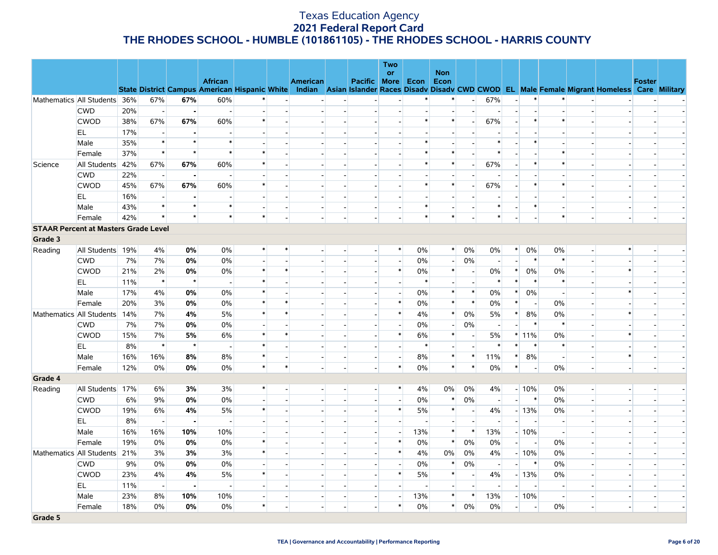|                |                                             |     |                |                |                                                      |                          |        |                          |                          |                          | <b>Two</b>               |                |                          |                          |                          |                          |                          |                |                          |                                                                                                  |               |  |
|----------------|---------------------------------------------|-----|----------------|----------------|------------------------------------------------------|--------------------------|--------|--------------------------|--------------------------|--------------------------|--------------------------|----------------|--------------------------|--------------------------|--------------------------|--------------------------|--------------------------|----------------|--------------------------|--------------------------------------------------------------------------------------------------|---------------|--|
|                |                                             |     |                |                | <b>African</b>                                       |                          |        | American                 |                          | <b>Pacific More</b>      | <b>or</b>                | Econ           | <b>Non</b><br>Econ       |                          |                          |                          |                          |                |                          |                                                                                                  | <b>Foster</b> |  |
|                |                                             |     |                |                | <b>State District Campus American Hispanic White</b> |                          |        |                          |                          |                          |                          |                |                          |                          |                          |                          |                          |                |                          | Indian Asian Islander Races Disady Disady CWD CWOD EL Male Female Migrant Homeless Care Military |               |  |
|                | Mathematics All Students 36%                |     | 67%            | 67%            | 60%                                                  |                          |        | $\blacksquare$           |                          |                          | $\overline{a}$           | $\ast$         | $\ast$                   | $\sim$                   | 67%                      | $\sim$                   | $\ast$                   | $\ast$         |                          |                                                                                                  |               |  |
|                | <b>CWD</b>                                  | 20% | $\mathbf{L}$   | $\blacksquare$ |                                                      | $\overline{a}$           |        |                          |                          |                          | $\overline{\phantom{a}}$ |                |                          |                          |                          |                          |                          | $\sim$         |                          |                                                                                                  |               |  |
|                | <b>CWOD</b>                                 | 38% | 67%            | 67%            | 60%                                                  | $\ast$                   |        | $\overline{a}$           |                          |                          | $\overline{a}$           | $\ast$         | $\ast$                   | $\overline{a}$           | 67%                      | $\overline{\phantom{a}}$ | $\ast$                   | $\ast$         |                          |                                                                                                  |               |  |
|                | EL                                          | 17% | $\sim$         |                |                                                      | $\overline{a}$           |        |                          |                          |                          |                          |                |                          |                          |                          |                          |                          | $\overline{a}$ |                          |                                                                                                  |               |  |
|                | Male                                        | 35% | $\ast$         | $\star$        | $\ast$                                               |                          |        |                          |                          |                          | $\blacksquare$           | $\ast$         |                          |                          | $\ast$                   |                          | $\ast$                   |                |                          |                                                                                                  |               |  |
|                | Female                                      | 37% | $\ast$         | $\star$        | $\ast$                                               | $\star$                  |        |                          |                          |                          | $\overline{a}$           | $\ast$         | $\ast$                   |                          | $\ast$                   |                          |                          | $\ast$         | $\overline{a}$           |                                                                                                  |               |  |
| Science        | All Students                                | 42% | 67%            | 67%            | 60%                                                  | $\ast$                   |        |                          |                          |                          | $\blacksquare$           | $\ast$         | $\ast$                   | $\overline{a}$           | 67%                      | $\overline{\phantom{a}}$ | $\ast$                   | $\ast$         | $\overline{\phantom{a}}$ |                                                                                                  |               |  |
|                | <b>CWD</b>                                  | 22% | $\sim$         | $\blacksquare$ |                                                      | $\sim$                   |        |                          |                          |                          | $\overline{a}$           |                | $\overline{a}$           |                          |                          | $\sim$                   |                          | $\overline{a}$ | $\overline{a}$           |                                                                                                  |               |  |
|                | <b>CWOD</b>                                 | 45% | 67%            | 67%            | 60%                                                  | $\ast$                   |        |                          |                          |                          | $\overline{\phantom{a}}$ | $\ast$         | $\ast$                   |                          | 67%                      | $\overline{\phantom{a}}$ | $\ast$                   | $\ast$         | $\overline{\phantom{a}}$ |                                                                                                  |               |  |
|                | EL                                          | 16% | $\sim$         | $\blacksquare$ |                                                      | $\sim$                   |        |                          |                          |                          | $\overline{a}$           |                | $\overline{a}$           |                          | $\overline{\phantom{a}}$ | $\overline{\phantom{a}}$ |                          | $\sim$         | $\overline{a}$           |                                                                                                  |               |  |
|                | Male                                        | 43% | $\ast$         | $\star$        | $\ast$                                               |                          |        | $\overline{\phantom{a}}$ |                          |                          | $\overline{\phantom{a}}$ | $\ast$         |                          |                          | $\ast$                   | $\overline{\phantom{a}}$ | $\left \ast\right $      | $\blacksquare$ | $\overline{\phantom{a}}$ |                                                                                                  |               |  |
|                | Female                                      | 42% | $\ast$         | $\star$        | $\ast$                                               | $\ast$                   |        |                          | $\sim$                   |                          | $\overline{a}$           | $\ast$         | $\ast$                   |                          | $\ast$                   |                          |                          | $\ast$         | $\overline{\phantom{a}}$ |                                                                                                  |               |  |
|                | <b>STAAR Percent at Masters Grade Level</b> |     |                |                |                                                      |                          |        |                          |                          |                          |                          |                |                          |                          |                          |                          |                          |                |                          |                                                                                                  |               |  |
| Grade 3        |                                             |     |                |                |                                                      |                          |        |                          |                          |                          |                          |                |                          |                          |                          |                          |                          |                |                          |                                                                                                  |               |  |
| Reading        | All Students 19%                            |     | 4%             | 0%             | 0%                                                   | $\ast$                   | $\ast$ | $\overline{\phantom{a}}$ |                          | $\overline{a}$           | $\ast$                   | 0%             | $\ast$                   | 0%                       | $0\%$                    | $\ast$                   | $0\%$                    | 0%             | $\overline{\phantom{a}}$ |                                                                                                  |               |  |
|                | <b>CWD</b>                                  | 7%  | 7%             | 0%             | 0%                                                   | $\overline{\phantom{a}}$ |        |                          |                          | $\overline{\phantom{a}}$ | $\overline{\phantom{a}}$ | 0%             | $\overline{a}$           | 0%                       | $\overline{\phantom{a}}$ | $\blacksquare$           | $\ast$                   | $\ast$         | $\overline{\phantom{a}}$ |                                                                                                  |               |  |
|                | <b>CWOD</b>                                 | 21% | 2%             | 0%             | 0%                                                   | $\ast$                   | $\ast$ |                          |                          |                          | $\ast$                   | $0\%$          | $\ast$                   |                          | 0%                       | $\ast$                   | 0%                       | 0%             | $\overline{a}$           | $\ast$                                                                                           |               |  |
|                | EL.                                         | 11% | $\ast$         | $\star$        |                                                      | $\ast$                   |        |                          |                          |                          | $\blacksquare$           | $\ast$         |                          | $\overline{\phantom{a}}$ | $\ast$                   | $\ast$                   | $\ast$                   | $\ast$         | $\blacksquare$           |                                                                                                  |               |  |
|                | Male                                        | 17% | 4%             | 0%             | 0%                                                   | $\ast$                   |        | $\overline{\phantom{a}}$ |                          | $\sim$                   | $\overline{\phantom{0}}$ | 0%             | $\ast$                   | $\ast$                   | $0\%$                    | $\ast$                   | 0%                       | $\mathbf{r}$   | $\overline{a}$           |                                                                                                  |               |  |
|                | Female                                      | 20% | 3%             | 0%             | 0%                                                   | $\ast$                   | $\ast$ |                          |                          |                          | $\ast$                   | 0%             | $\ast$                   | $\ast$                   | 0%                       | $\ast$                   | $\overline{\phantom{a}}$ | 0%             | $\overline{\phantom{a}}$ |                                                                                                  |               |  |
|                | Mathematics All Students                    | 14% | 7%             | 4%             | 5%                                                   | $\ast$                   | $\ast$ | $\sim$                   |                          | $\sim$                   | $\ast$                   | 4%             | $\ast$                   | 0%                       | 5%                       | $\ast$                   | 8%                       | 0%             | $\overline{\phantom{a}}$ | $\ast$                                                                                           |               |  |
|                | <b>CWD</b>                                  | 7%  | 7%             | $0\%$          | 0%                                                   |                          |        |                          |                          |                          | $\blacksquare$           | $0\%$          | $\overline{\phantom{a}}$ | 0%                       | $\overline{\phantom{0}}$ |                          | $\ast$                   | $\ast$         | $\overline{a}$           |                                                                                                  |               |  |
|                | <b>CWOD</b>                                 | 15% | 7%             | 5%             | 6%                                                   | $\ast$                   | $\ast$ |                          |                          | $\overline{\phantom{a}}$ | $\ast$                   | 6%             | $\ast$                   | $\overline{\phantom{a}}$ | 5%                       |                          | $*11\%$                  | 0%             | $\overline{a}$           |                                                                                                  |               |  |
|                | EL.                                         | 8%  | $\ast$         | $\star$        |                                                      | $\ast$                   |        |                          |                          |                          | $\overline{a}$           | $\ast$         |                          |                          | $\ast$                   | $\pmb{\ast}$             | $\ast$                   | $\ast$         |                          |                                                                                                  |               |  |
|                | Male                                        | 16% | 16%            | 8%             | 8%                                                   | $\ast$                   |        | $\blacksquare$           | $\overline{\phantom{a}}$ | $\overline{a}$           | $\overline{\phantom{0}}$ | 8%             | $\ast$                   | $\ast$                   | 11%                      | $\ast$                   | 8%                       | $\blacksquare$ | $\blacksquare$           |                                                                                                  |               |  |
|                | Female                                      | 12% | 0%             | 0%             | $0\%$                                                | $\ast$                   | $\ast$ |                          |                          |                          | $\ast$                   | 0%             | $\ast$                   | $\ast$                   | 0%                       | $\ast$                   |                          | $0\%$          | $\overline{\phantom{a}}$ |                                                                                                  |               |  |
| Grade 4        |                                             |     |                |                |                                                      |                          |        |                          |                          |                          |                          |                |                          |                          |                          |                          |                          |                |                          |                                                                                                  |               |  |
| Reading        | All Students                                | 17% | 6%             | 3%             | 3%                                                   | $\ast$                   |        |                          |                          |                          | $\ast$                   | 4%             | 0%                       | 0%                       | 4%                       |                          | $-10%$                   | 0%             | $\overline{a}$           |                                                                                                  |               |  |
|                | <b>CWD</b>                                  | 6%  | 9%             | 0%             | 0%                                                   | $\overline{\phantom{a}}$ |        |                          |                          |                          | $\overline{a}$           | $0\%$          | $\ast$                   | 0%                       | $\overline{\phantom{a}}$ |                          | $\ast$                   | 0%             | $\blacksquare$           |                                                                                                  |               |  |
|                | <b>CWOD</b>                                 | 19% | 6%             | 4%             | 5%                                                   | $\ast$                   |        |                          |                          |                          | $\ast$                   | 5%             | $\ast$                   | $\overline{\phantom{a}}$ | 4%                       |                          | $-13%$                   | 0%             | $\sim$                   |                                                                                                  |               |  |
|                | EL.                                         | 8%  | $\overline{a}$ | $\blacksquare$ |                                                      |                          |        |                          |                          |                          | $\blacksquare$           | $\overline{a}$ |                          |                          | $\overline{\phantom{a}}$ |                          |                          | $\blacksquare$ | $\overline{\phantom{a}}$ |                                                                                                  |               |  |
|                | Male                                        | 16% | 16%            | 10%            | 10%                                                  | $\overline{a}$           |        |                          |                          | $\overline{\phantom{a}}$ | н.                       | 13%            | $\ast$                   | $\ast$                   | 13%                      |                          | $-10%$                   | $\sim$         | $\overline{a}$           |                                                                                                  |               |  |
|                | Female                                      | 19% | 0%             | 0%             | 0%                                                   | $\ast$                   |        |                          |                          | $\overline{\phantom{a}}$ | $\ast$                   | 0%             | $\ast$                   | $0\%$                    | $0\%$                    | $\overline{a}$           | $\overline{\phantom{a}}$ | 0%             | $\overline{\phantom{a}}$ |                                                                                                  |               |  |
|                | Mathematics All Students                    | 21% | 3%             | 3%             | 3%                                                   | $\ast$                   |        | $\overline{\phantom{a}}$ |                          | $\overline{a}$           | $\ast$                   | 4%             | 0%                       | $0\%$                    | 4%                       |                          | $-10%$                   | 0%             | $\sim$                   |                                                                                                  |               |  |
|                | <b>CWD</b>                                  | 9%  | 0%             | 0%             | 0%                                                   | $\overline{a}$           |        |                          |                          |                          | $\overline{a}$           | 0%             | $\ast$                   | 0%                       | $\overline{\phantom{a}}$ | $\overline{\phantom{a}}$ | $\ast$                   | 0%             |                          |                                                                                                  |               |  |
|                | <b>CWOD</b>                                 | 23% | 4%             | 4%             | 5%                                                   | $\ast$                   |        | $\overline{\phantom{a}}$ |                          | $\overline{\phantom{a}}$ | $\ast$                   | 5%             | $\ast$                   | $\overline{a}$           | 4%                       |                          | $-13%$                   | 0%             | $\overline{a}$           |                                                                                                  |               |  |
|                | EL.                                         | 11% | $\overline{a}$ | $\blacksquare$ |                                                      |                          |        |                          |                          |                          | $\overline{\phantom{a}}$ |                | $\overline{a}$           |                          | $\blacksquare$           |                          |                          | $\blacksquare$ |                          |                                                                                                  |               |  |
|                | Male                                        | 23% | 8%             | 10%            | 10%                                                  | $\blacksquare$           |        | $\overline{\phantom{a}}$ | $\overline{\phantom{a}}$ | $\overline{\phantom{a}}$ | $\blacksquare$           | 13%            | $\ast$                   | *                        | 13%                      |                          | $-10%$                   | $\blacksquare$ | $\blacksquare$           |                                                                                                  |               |  |
|                | Female                                      | 18% | 0%             | 0%             | 0%                                                   | $\ast$                   |        |                          |                          | $\overline{a}$           | $\ast$                   | 0%             | $\ast$                   | 0%                       | 0%                       | $\overline{a}$           | $\overline{\phantom{a}}$ | $0\%$          | $\overline{\phantom{a}}$ |                                                                                                  |               |  |
| <b>Grade 5</b> |                                             |     |                |                |                                                      |                          |        |                          |                          |                          |                          |                |                          |                          |                          |                          |                          |                |                          |                                                                                                  |               |  |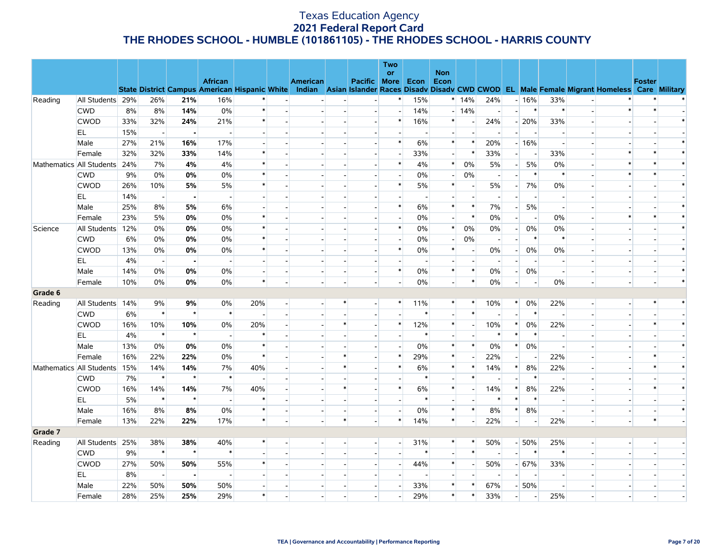|         |                          |     |                          |                |                                                      |                          |                          |        |                          | Two                      |                          |                          |                          |                          |                          |                          |                          |                          |                                                                                                  |               |        |
|---------|--------------------------|-----|--------------------------|----------------|------------------------------------------------------|--------------------------|--------------------------|--------|--------------------------|--------------------------|--------------------------|--------------------------|--------------------------|--------------------------|--------------------------|--------------------------|--------------------------|--------------------------|--------------------------------------------------------------------------------------------------|---------------|--------|
|         |                          |     |                          |                | <b>African</b>                                       |                          | American                 |        | Pacific More             | or                       | Econ                     | <b>Non</b><br>Econ       |                          |                          |                          |                          |                          |                          |                                                                                                  | <b>Foster</b> |        |
|         |                          |     |                          |                | <b>State District Campus American Hispanic White</b> |                          |                          |        |                          |                          |                          |                          |                          |                          |                          |                          |                          |                          | Indian Asian Islander Races Disadv Disadv CWD CWOD EL Male Female Migrant Homeless Care Military |               |        |
| Reading | All Students 29%         |     | 26%                      | 21%            | 16%                                                  |                          |                          |        |                          | $\ast$                   | 15%                      |                          | $*14%$                   | 24%                      |                          | $-16%$                   | 33%                      |                          |                                                                                                  |               |        |
|         | <b>CWD</b>               | 8%  | 8%                       | 14%            | $0\%$                                                | $\ast$                   |                          |        | $\overline{a}$           | $\overline{\phantom{a}}$ | 14%                      |                          | $-14%$                   | $\overline{\phantom{a}}$ | $\overline{a}$           | $\ast$                   | $\ast$                   | $\sim$                   | $\ast$                                                                                           | $\ast$        |        |
|         | <b>CWOD</b>              | 33% | 32%                      | 24%            | 21%                                                  | $\ast$                   |                          |        |                          | $\ast$                   | 16%                      | $\ast$                   |                          | 24%                      |                          | $-20%$                   | 33%                      |                          |                                                                                                  |               | $\ast$ |
|         | EL                       | 15% | $\overline{a}$           | $\blacksquare$ |                                                      | $\overline{a}$           |                          |        | $\overline{\phantom{a}}$ | $\overline{\phantom{a}}$ | $\overline{\phantom{a}}$ | $\overline{\phantom{a}}$ | $\overline{a}$           | $\overline{\phantom{a}}$ | $\overline{a}$           | $\overline{\phantom{a}}$ | $\overline{\phantom{a}}$ |                          |                                                                                                  |               |        |
|         | Male                     | 27% | 21%                      | 16%            | 17%                                                  |                          |                          |        |                          | $\ast$                   | 6%                       | $\ast$                   | $\ast$                   | 20%                      |                          | $-16%$                   | $\overline{\phantom{a}}$ |                          |                                                                                                  |               |        |
|         | Female                   | 32% | 32%                      | 33%            | 14%                                                  | $\ast$                   |                          |        |                          | $\overline{a}$           | 33%                      | $\overline{a}$           | $\ast$                   | 33%                      | $\overline{a}$           | $\overline{\phantom{a}}$ | 33%                      |                          |                                                                                                  |               |        |
|         | Mathematics All Students | 24% | 7%                       | 4%             | 4%                                                   | $\ast$                   |                          |        |                          | $\ast$                   | 4%                       | $\ast$                   | 0%                       | 5%                       | $\overline{a}$           | 5%                       | 0%                       |                          |                                                                                                  |               | $\ast$ |
|         | <b>CWD</b>               | 9%  | 0%                       | 0%             | 0%                                                   | $\ast$                   |                          |        |                          |                          | 0%                       |                          | 0%                       |                          | $\overline{a}$           | $\ast$                   | $\ast$                   |                          |                                                                                                  |               |        |
|         | <b>CWOD</b>              | 26% | 10%                      | 5%             | 5%                                                   | $\ast$                   |                          |        |                          | $\ast$                   | 5%                       | $\ast$                   |                          | 5%                       | $\overline{a}$           | 7%                       | 0%                       |                          |                                                                                                  |               | $\ast$ |
|         | EL                       | 14% | $\overline{\phantom{a}}$ | $\blacksquare$ |                                                      |                          |                          |        |                          |                          |                          |                          | $\blacksquare$           |                          |                          |                          | $\overline{\phantom{a}}$ |                          |                                                                                                  |               |        |
|         | Male                     | 25% | 8%                       | 5%             | 6%                                                   |                          |                          |        |                          | $\ast$                   | 6%                       | $\ast$                   | $\ast$                   | 7%                       | $\overline{a}$           | 5%                       | $\overline{\phantom{a}}$ |                          |                                                                                                  |               |        |
|         | Female                   | 23% | 5%                       | 0%             | 0%                                                   | $\ast$                   |                          |        |                          | $\overline{\phantom{a}}$ | 0%                       | $\overline{\phantom{a}}$ | $\ast$                   | 0%                       | $\overline{a}$           | $\overline{\phantom{a}}$ | 0%                       |                          |                                                                                                  |               |        |
| Science | All Students             | 12% | 0%                       | 0%             | 0%                                                   | $\ast$                   |                          |        |                          | $\ast$                   | 0%                       | $\ast$                   | 0%                       | 0%                       | $\overline{a}$           | 0%                       | 0%                       |                          |                                                                                                  |               | $\ast$ |
|         | <b>CWD</b>               | 6%  | $0\%$                    | 0%             | 0%                                                   | $\ast$                   |                          |        |                          | $\overline{a}$           | 0%                       |                          | 0%                       | $\overline{a}$           | н.                       | $\ast$                   | $\ast$                   |                          |                                                                                                  |               |        |
|         | <b>CWOD</b>              | 13% | 0%                       | 0%             | 0%                                                   | $\ast$                   |                          |        |                          | $\ast$                   | 0%                       | $\ast$                   | $\overline{\phantom{a}}$ | $0\%$                    | $\overline{\phantom{0}}$ | 0%                       | 0%                       |                          |                                                                                                  |               |        |
|         | EL                       | 4%  | $\overline{\phantom{a}}$ |                |                                                      |                          |                          |        |                          |                          |                          |                          |                          |                          |                          |                          | $\overline{\phantom{a}}$ |                          |                                                                                                  |               |        |
|         | Male                     | 14% | 0%                       | 0%             | 0%                                                   | $\overline{\phantom{a}}$ | $\overline{\phantom{a}}$ |        | $\overline{\phantom{a}}$ | $\ast$                   | 0%                       | $\ast$                   | $\ast$                   | 0%                       | $\overline{a}$           | 0%                       | $\overline{\phantom{a}}$ |                          |                                                                                                  |               | $\ast$ |
|         | Female                   | 10% | 0%                       | 0%             | 0%                                                   | $\ast$                   |                          |        |                          |                          | 0%                       |                          | $\ast$                   | 0%                       | $\overline{a}$           | $\overline{\phantom{a}}$ | 0%                       |                          |                                                                                                  |               | $\ast$ |
| Grade 6 |                          |     |                          |                |                                                      |                          |                          |        |                          |                          |                          |                          |                          |                          |                          |                          |                          |                          |                                                                                                  |               |        |
| Reading | All Students             | 14% | 9%                       | 9%             | 0%                                                   | 20%                      |                          |        |                          | $\ast$                   | 11%                      | $\ast$                   | $\ast$                   | 10%                      | $\ast$                   | 0%                       | 22%                      | $\overline{\phantom{a}}$ |                                                                                                  |               |        |
|         | <b>CWD</b>               | 6%  | $\ast$                   | $\star$        | $\ast$                                               |                          |                          |        |                          |                          | $\ast$                   |                          | $\ast$                   |                          |                          | $\ast$                   | $\overline{\phantom{a}}$ |                          |                                                                                                  |               |        |
|         | <b>CWOD</b>              | 16% | 10%                      | 10%            | $0\%$                                                | 20%                      |                          | ∗      |                          | $\ast$                   | 12%                      | $\ast$                   |                          | 10%                      | $\ast$                   | 0%                       | 22%                      |                          |                                                                                                  |               |        |
|         | <b>EL</b>                | 4%  | $\ast$                   | $\star$        | $\overline{a}$                                       | $\ast$                   |                          |        |                          |                          | $\ast$                   |                          |                          | $\ast$                   | $\ast$                   | $\ast$                   |                          |                          |                                                                                                  |               |        |
|         | Male                     | 13% | 0%                       | 0%             | 0%                                                   | $\ast$                   |                          |        |                          | $\overline{a}$           | 0%                       | $\ast$                   | $\ast$                   | $0\%$                    | $\ast$                   | 0%                       | $\overline{\phantom{a}}$ |                          |                                                                                                  |               | $\ast$ |
|         | Female                   | 16% | 22%                      | 22%            | 0%                                                   | $\ast$                   |                          | $\ast$ |                          | $\ast$                   | 29%                      | $\ast$                   |                          | 22%                      | $\overline{\phantom{a}}$ |                          | 22%                      |                          |                                                                                                  |               |        |
|         | Mathematics All Students | 15% | 14%                      | 14%            | 7%                                                   | 40%                      |                          |        |                          | $\ast$                   | 6%                       | $\ast$                   | $\ast$                   | 14%                      | $\ast$                   | 8%                       | 22%                      |                          |                                                                                                  |               |        |
|         | <b>CWD</b>               | 7%  | $\ast$                   | $\star$        | $\ast$                                               |                          |                          |        |                          |                          | $\ast$                   |                          | $\ast$                   |                          | $\overline{\phantom{a}}$ | $\ast$                   | $\overline{\phantom{a}}$ |                          |                                                                                                  |               |        |
|         | <b>CWOD</b>              | 16% | 14%                      | 14%            | 7%                                                   | 40%                      |                          | $\ast$ |                          | $\ast$                   | 6%                       | $\ast$                   |                          | 14%                      | $\ast$                   | 8%                       | 22%                      |                          |                                                                                                  |               | $\ast$ |
|         | <b>EL</b>                | 5%  | $\ast$                   | $\star$        | $\overline{\phantom{a}}$                             | $\ast$                   |                          |        |                          | $\overline{\phantom{a}}$ | $\ast$                   | $\overline{\phantom{a}}$ |                          | *                        | $\ast$                   | $\ast$                   | $\sim$                   |                          |                                                                                                  |               |        |
|         | Male                     | 16% | 8%                       | 8%             | 0%                                                   | $\ast$                   |                          |        | $\overline{\phantom{a}}$ | $\overline{a}$           | 0%                       | $\ast$                   | $\ast$                   | 8%                       | $\ast$                   | 8%                       | $\overline{\phantom{a}}$ | $\overline{\phantom{0}}$ |                                                                                                  |               | $\ast$ |
|         | Female                   | 13% | 22%                      | 22%            | 17%                                                  | $\ast$                   |                          | $\ast$ |                          | $\ast$                   | 14%                      | $\ast$                   |                          | 22%                      | $\overline{a}$           |                          | 22%                      | $\overline{a}$           |                                                                                                  | $\ast$        |        |
| Grade 7 |                          |     |                          |                |                                                      |                          |                          |        |                          |                          |                          |                          |                          |                          |                          |                          |                          |                          |                                                                                                  |               |        |
| Reading | All Students             | 25% | 38%                      | 38%            | 40%                                                  | $\ast$                   |                          |        |                          | $\mathbf{L}$             | 31%                      | $\ast$                   | $\ast$                   | 50%                      |                          | $-50%$                   | 25%                      |                          |                                                                                                  |               |        |
|         | <b>CWD</b>               | 9%  | $\ast$                   | $\star$        | $\ast$                                               |                          |                          |        | $\overline{\phantom{a}}$ | $\overline{a}$           | $\ast$                   |                          | $\ast$                   |                          | $\overline{a}$           | $\ast$                   | $\ast$                   |                          |                                                                                                  |               |        |
|         | <b>CWOD</b>              | 27% | 50%                      | 50%            | 55%                                                  | $\ast$                   |                          |        | $\overline{\phantom{a}}$ | $\overline{a}$           | 44%                      | $\ast$                   | $\overline{\phantom{a}}$ | 50%                      |                          | $- 67%$                  | 33%                      |                          |                                                                                                  |               |        |
|         | <b>EL</b>                | 8%  | $\overline{a}$           | $\blacksquare$ |                                                      |                          |                          |        |                          |                          |                          |                          |                          |                          | $\overline{a}$           | $\overline{\phantom{a}}$ | $\overline{\phantom{a}}$ |                          |                                                                                                  |               |        |
|         | Male                     | 22% | 50%                      | 50%            | 50%                                                  |                          |                          |        |                          |                          | 33%                      | $\ast$                   |                          | 67%                      | $\overline{\phantom{a}}$ | 50%                      | $\overline{\phantom{a}}$ |                          |                                                                                                  |               |        |
|         | Female                   | 28% | 25%                      | 25%            | 29%                                                  | $\ast$                   |                          |        |                          |                          | 29%                      | $\ast$                   | $\ast$                   | 33%                      | $\overline{a}$           | $\blacksquare$           | 25%                      |                          |                                                                                                  |               |        |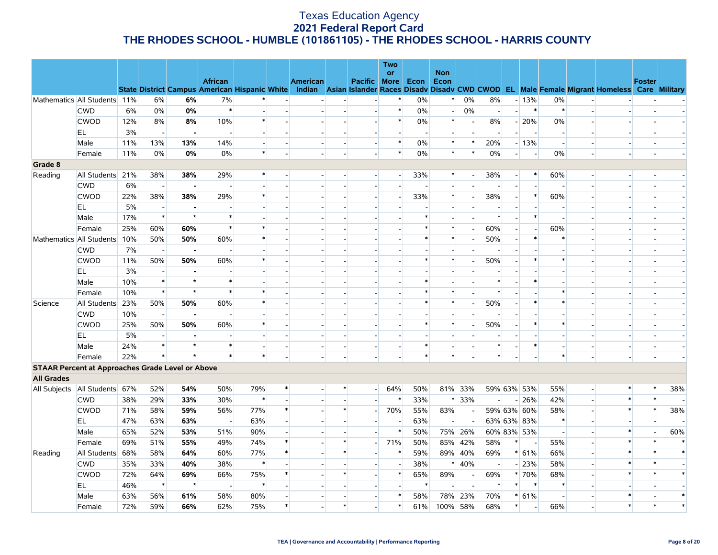|                   |                                                         |     |                          |         |                                                                        |                          |        |                 |        |                          | <b>Two</b><br>or         |        | <b>Non</b> |                          |                          |                          |                          |                          |                          |                                                                                                  |               |        |
|-------------------|---------------------------------------------------------|-----|--------------------------|---------|------------------------------------------------------------------------|--------------------------|--------|-----------------|--------|--------------------------|--------------------------|--------|------------|--------------------------|--------------------------|--------------------------|--------------------------|--------------------------|--------------------------|--------------------------------------------------------------------------------------------------|---------------|--------|
|                   |                                                         |     |                          |         | <b>African</b><br><b>State District Campus American Hispanic White</b> |                          |        | <b>American</b> |        | <b>Pacific More</b>      |                          | Econ   | Econ       |                          |                          |                          |                          |                          |                          | Indian Asian Islander Races Disady Disady CWD CWOD EL Male Female Migrant Homeless Care Military | <b>Foster</b> |        |
|                   | Mathematics All Students 11%                            |     | 6%                       | 6%      | 7%                                                                     |                          |        |                 |        |                          |                          | 0%     | $\ast$     | 0%                       | 8%                       |                          | $-13%$                   | 0%                       |                          |                                                                                                  |               |        |
|                   | <b>CWD</b>                                              | 6%  | $0\%$                    | 0%      | $\ast$                                                                 | $\overline{\phantom{a}}$ |        |                 |        |                          | $\ast$                   | 0%     | $\sim$     | 0%                       | $\overline{\phantom{a}}$ | $\overline{a}$           | $\ast$                   | $\ast$                   |                          |                                                                                                  |               |        |
|                   | <b>CWOD</b>                                             | 12% | 8%                       | 8%      | 10%                                                                    | $\ast$                   |        |                 |        |                          | $\ast$                   | 0%     | $\ast$     | $\sim$                   | 8%                       |                          | $-20%$                   | 0%                       |                          |                                                                                                  |               |        |
|                   | EL.                                                     | 3%  | $\overline{a}$           |         | $\overline{\phantom{a}}$                                               | $\overline{\phantom{a}}$ |        |                 |        |                          |                          |        |            | $\overline{\phantom{a}}$ |                          |                          | $\overline{\phantom{a}}$ | $\overline{\phantom{a}}$ |                          |                                                                                                  |               |        |
|                   | Male                                                    | 11% | 13%                      | 13%     | 14%                                                                    | $\overline{a}$           |        |                 |        |                          | $\ast$                   | 0%     | $\ast$     | $\ast$                   | 20%                      |                          | $-13%$                   | $\sim$                   |                          |                                                                                                  |               |        |
|                   | Female                                                  | 11% | $0\%$                    | 0%      | 0%                                                                     | $\ast$                   |        |                 |        |                          | $\ast$                   | 0%     | $\ast$     | $\ast$                   | 0%                       | $\overline{a}$           | $\blacksquare$           | 0%                       | $\overline{\phantom{a}}$ |                                                                                                  |               |        |
| Grade 8           |                                                         |     |                          |         |                                                                        |                          |        |                 |        |                          |                          |        |            |                          |                          |                          |                          |                          |                          |                                                                                                  |               |        |
| Reading           | All Students                                            | 21% | 38%                      | 38%     | 29%                                                                    |                          |        |                 |        |                          |                          | 33%    | $\ast$     | $\overline{\phantom{a}}$ | 38%                      | $\overline{\phantom{0}}$ | $\ast$                   | 60%                      |                          |                                                                                                  |               |        |
|                   | <b>CWD</b>                                              | 6%  | $\sim$                   |         |                                                                        |                          |        |                 |        |                          |                          |        |            |                          |                          |                          |                          | $\overline{a}$           |                          |                                                                                                  |               |        |
|                   | <b>CWOD</b>                                             | 22% | 38%                      | 38%     | 29%                                                                    | $\ast$                   |        |                 |        |                          |                          | 33%    | $\ast$     | $\overline{\phantom{a}}$ | 38%                      | $\overline{a}$           | $\ast$                   | 60%                      |                          |                                                                                                  |               |        |
|                   | EL                                                      | 5%  | $\overline{\phantom{a}}$ |         |                                                                        | $\overline{a}$           |        |                 |        |                          |                          |        |            |                          |                          |                          |                          | $\overline{a}$           |                          |                                                                                                  |               |        |
|                   | Male                                                    | 17% | $\ast$                   | $\star$ | $\ast$                                                                 |                          |        |                 |        |                          |                          |        |            |                          | ∗                        | $\overline{\phantom{a}}$ | $\ast$                   |                          |                          |                                                                                                  |               |        |
|                   | Female                                                  | 25% | 60%                      | 60%     | $\ast$                                                                 | $\ast$                   |        |                 |        |                          |                          |        | $\ast$     | $\overline{a}$           | 60%                      | $\overline{\phantom{a}}$ | $\blacksquare$           | 60%                      |                          |                                                                                                  |               |        |
|                   | Mathematics All Students                                | 10% | 50%                      | 50%     | 60%                                                                    | $\ast$                   |        |                 |        |                          |                          | ∗      | $\ast$     | $\overline{\phantom{a}}$ | 50%                      | $\overline{a}$           | $\ast$                   | $\ast$                   |                          |                                                                                                  |               |        |
|                   | <b>CWD</b>                                              | 7%  | $\overline{\phantom{a}}$ |         |                                                                        |                          |        |                 |        |                          |                          |        |            |                          |                          |                          |                          |                          |                          |                                                                                                  |               |        |
|                   | <b>CWOD</b>                                             | 11% | 50%                      | 50%     | 60%                                                                    | $\ast$                   |        |                 |        |                          |                          |        | $\ast$     | $\overline{a}$           | 50%                      |                          | $\ast$                   | $\ast$                   |                          |                                                                                                  |               |        |
|                   | EL.                                                     | 3%  | $\overline{\phantom{a}}$ |         |                                                                        |                          |        |                 |        |                          |                          |        |            |                          |                          |                          |                          |                          |                          |                                                                                                  |               |        |
|                   | Male                                                    | 10% | $\ast$                   | $\star$ | $\ast$                                                                 |                          |        |                 |        |                          |                          |        |            |                          | $\ast$                   |                          | $\ast$                   |                          |                          |                                                                                                  |               |        |
|                   | Female                                                  | 10% | $\ast$                   | $\star$ | $\ast$                                                                 | $\ast$                   |        |                 |        |                          |                          |        |            |                          | $\ast$                   |                          |                          | $\ast$                   |                          |                                                                                                  |               |        |
| Science           | All Students                                            | 23% | 50%                      | 50%     | 60%                                                                    | $\ast$                   |        |                 |        |                          |                          |        | $\ast$     | $\sim$                   | 50%                      | $\overline{\phantom{a}}$ | $\ast$                   | $\ast$                   |                          |                                                                                                  |               |        |
|                   | <b>CWD</b>                                              | 10% | $\overline{a}$           |         |                                                                        |                          |        |                 |        |                          |                          |        |            |                          |                          |                          |                          |                          |                          |                                                                                                  |               |        |
|                   | <b>CWOD</b>                                             | 25% | 50%                      | 50%     | 60%                                                                    | $\ast$                   |        |                 |        |                          |                          | $\ast$ | $\ast$     | $\overline{\phantom{a}}$ | 50%                      |                          | $\ast$                   | $\ast$                   |                          |                                                                                                  |               |        |
|                   | EL.                                                     | 5%  | $\overline{\phantom{a}}$ |         |                                                                        |                          |        |                 |        |                          |                          |        |            |                          |                          |                          |                          |                          |                          |                                                                                                  |               |        |
|                   | Male                                                    | 24% | $\ast$                   | $\star$ | $\ast$                                                                 | $\overline{a}$           |        |                 |        |                          |                          |        |            | $\overline{a}$           | *                        | $\overline{\phantom{a}}$ | $\ast$                   | $\overline{a}$           |                          |                                                                                                  |               |        |
|                   | Female                                                  | 22% | $\ast$                   | $\star$ | $\ast$                                                                 | $\ast$                   |        |                 |        |                          |                          |        | $\ast$     |                          | $\ast$                   |                          |                          | $\ast$                   |                          |                                                                                                  |               |        |
|                   | <b>STAAR Percent at Approaches Grade Level or Above</b> |     |                          |         |                                                                        |                          |        |                 |        |                          |                          |        |            |                          |                          |                          |                          |                          |                          |                                                                                                  |               |        |
| <b>All Grades</b> |                                                         |     |                          |         |                                                                        |                          |        |                 |        |                          |                          |        |            |                          |                          |                          |                          |                          |                          |                                                                                                  |               |        |
| All Subjects      | All Students 67%                                        |     | 52%                      | 54%     | 50%                                                                    | 79%                      | $\ast$ |                 | $\ast$ | $\sim$                   | 64%                      | 50%    |            | 81% 33%                  |                          |                          | 59% 63% 53%              | 55%                      | $\overline{a}$           | $\ast$                                                                                           | $\ast$        | 38%    |
|                   | <b>CWD</b>                                              | 38% | 29%                      | 33%     | 30%                                                                    | $\ast$                   |        |                 |        |                          | $\ast$                   | 33%    | $\ast$     | 33%                      |                          |                          | $-26%$                   | 42%                      |                          | $\ast$                                                                                           | $\ast$        |        |
|                   | <b>CWOD</b>                                             | 71% | 58%                      | 59%     | 56%                                                                    | 77%                      | $\ast$ |                 | $\ast$ | $\sim$                   | 70%                      | 55%    | 83%        | $\sim$                   |                          |                          | 59% 63% 60%              | 58%                      |                          | $\ast$                                                                                           | $\ast$        | 38%    |
|                   | EL                                                      | 47% | 63%                      | 63%     | $\overline{\phantom{a}}$                                               | 63%                      |        |                 |        |                          |                          | 63%    |            | $\overline{\phantom{a}}$ |                          |                          | 63% 63% 83%              | $\ast$                   |                          |                                                                                                  |               |        |
|                   | Male                                                    | 65% | 52%                      | 53%     | 51%                                                                    | 90%                      |        |                 |        |                          | $\ast$                   | 50%    |            | 75% 26%                  |                          |                          | 60% 83% 53%              | $\sim$                   |                          | $\ast$                                                                                           |               | 60%    |
|                   | Female                                                  | 69% | 51%                      | 55%     | 49%                                                                    | 74%                      |        |                 |        | $\overline{\phantom{a}}$ | 71%                      | 50%    |            | 85% 42%                  | 58%                      | $\ast$                   | $\overline{\phantom{a}}$ | 55%                      | $\overline{\phantom{a}}$ | $\ast$                                                                                           |               | $\ast$ |
| Reading           | All Students                                            | 68% | 58%                      | 64%     | 60%                                                                    | 77%                      | $\ast$ |                 |        |                          | $\ast$                   | 59%    |            | 89% 40%                  | 69%                      |                          | $* 61%$                  | 66%                      | $\overline{a}$           | $\ast$                                                                                           |               | $\ast$ |
|                   | <b>CWD</b>                                              | 35% | 33%                      | 40%     | 38%                                                                    | $\ast$                   |        |                 |        |                          | $\overline{\phantom{a}}$ | 38%    | $\ast$     | 40%                      | $\overline{\phantom{a}}$ |                          | $-23%$                   | 58%                      | $\overline{a}$           |                                                                                                  |               |        |
|                   | <b>CWOD</b>                                             | 72% | 64%                      | 69%     | 66%                                                                    | 75%                      |        |                 |        |                          | $\ast$                   | 65%    | 89%        | $\overline{\phantom{a}}$ | 69%                      |                          | * 70%                    | 68%                      |                          | $\ast$                                                                                           |               |        |
|                   | EL                                                      | 46% | $\ast$                   | $\star$ | $\overline{\phantom{a}}$                                               | $\ast$                   |        |                 |        |                          |                          | $\ast$ |            | $\sim$                   | $\ast$                   | $\ast$                   | $\ast$                   | $\ast$                   |                          |                                                                                                  |               |        |
|                   | Male                                                    | 63% | 56%                      | 61%     | 58%                                                                    | 80%                      |        |                 |        |                          | $\ast$                   | 58%    | 78%        | 23%                      | 70%                      |                          | $* 61%$                  | $\overline{\phantom{a}}$ |                          |                                                                                                  |               |        |
|                   | Female                                                  | 72% | 59%                      | 66%     | 62%                                                                    | 75%                      |        |                 |        |                          | $\ast$                   | 61%    | 100%       | 58%                      | 68%                      | $\ast$                   | $\overline{\phantom{a}}$ | 66%                      | $\overline{\phantom{a}}$ |                                                                                                  |               |        |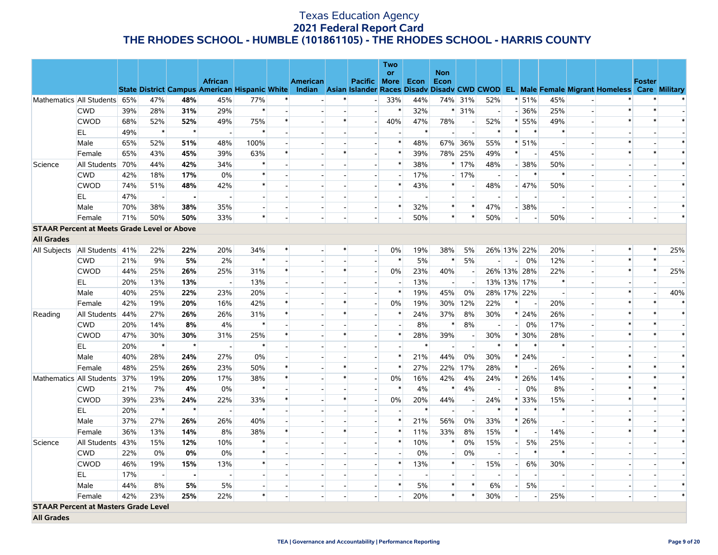|                   |                                                    |     |                          |                |                                                      |                          |        |                          |                          |                          | <b>Two</b>               |        |                          |                          |                          |                          |                                    |                          |                              |                                                                                                  |               |                |
|-------------------|----------------------------------------------------|-----|--------------------------|----------------|------------------------------------------------------|--------------------------|--------|--------------------------|--------------------------|--------------------------|--------------------------|--------|--------------------------|--------------------------|--------------------------|--------------------------|------------------------------------|--------------------------|------------------------------|--------------------------------------------------------------------------------------------------|---------------|----------------|
|                   |                                                    |     |                          |                | <b>African</b>                                       |                          |        | <b>American</b>          |                          | Pacific                  | <b>or</b>                |        | <b>Non</b>               |                          |                          |                          |                                    |                          |                              |                                                                                                  | <b>Foster</b> |                |
|                   |                                                    |     |                          |                | <b>State District Campus American Hispanic White</b> |                          |        |                          |                          |                          | <b>More</b>              | Econ   | <b>Econ</b>              |                          |                          |                          |                                    |                          |                              | Indian Asian Islander Races Disady Disady CWD CWOD EL Male Female Migrant Homeless Care Military |               |                |
|                   | Mathematics All Students 65%                       |     | 47%                      | 48%            | 45%                                                  | 77%                      | $\ast$ |                          |                          | $\overline{a}$           | 33%                      | 44%    |                          | 74% 31%                  | 52%                      |                          | $* 51%$                            | 45%                      |                              |                                                                                                  |               |                |
|                   | <b>CWD</b>                                         | 39% | 28%                      | 31%            | 29%                                                  | $\ast$                   |        | $\overline{a}$           |                          | $\overline{a}$           | $\ast$                   | 32%    |                          | $* 31%$                  | $\sim$                   |                          | $-36%$                             | 25%                      | $\overline{a}$               | $\ast$                                                                                           | $\ast$        |                |
|                   | <b>CWOD</b>                                        | 68% | 52%                      | 52%            | 49%                                                  | 75%                      | $\ast$ | $\overline{\phantom{a}}$ | $\ast$                   | $\overline{\phantom{a}}$ | 40%                      | 47%    | 78%                      |                          | 52%                      |                          | $* 55%$                            | 49%                      | $\qquad \qquad \blacksquare$ |                                                                                                  |               |                |
|                   | EL.                                                | 49% | $\ast$                   | $\star$        | $\overline{a}$                                       | $\ast$                   |        | $\overline{\phantom{a}}$ |                          | $\sim$                   | $\overline{\phantom{a}}$ | $\ast$ | $\overline{\phantom{a}}$ |                          | $\ast$                   |                          | $\ast$<br>$\ast$                   | $\ast$                   | $\blacksquare$               |                                                                                                  |               |                |
|                   | Male                                               | 65% | 52%                      | 51%            | 48%                                                  | 100%                     |        |                          |                          |                          | *                        | 48%    |                          | 67% 36%                  | 55%                      |                          | $*151%$                            | $\sim$                   |                              |                                                                                                  |               | $\ast$         |
|                   | Female                                             | 65% | 43%                      | 45%            | 39%                                                  | 63%                      | $\ast$ | $\overline{\phantom{a}}$ | ∗                        | $\overline{\phantom{a}}$ | $\ast$                   | 39%    |                          | 78% 25%                  | 49%                      |                          | $\ast$<br>$\overline{\phantom{a}}$ | 45%                      | $\overline{a}$               |                                                                                                  |               | $\ast$         |
| Science           | All Students                                       | 70% | 44%                      | 42%            | 34%                                                  | $\ast$                   |        |                          |                          |                          | $\ast$                   | 38%    |                          | $*17%$                   | 48%                      |                          | $-38%$                             | 50%                      |                              |                                                                                                  |               | $\ast$         |
|                   | <b>CWD</b>                                         | 42% | 18%                      | 17%            | 0%                                                   | $\ast$                   |        | $\overline{\phantom{a}}$ |                          | $\overline{\phantom{a}}$ | $\overline{\phantom{a}}$ | 17%    |                          | $-17%$                   | $\overline{\phantom{a}}$ | $\mathbf{L}$             | $\ast$                             | $\ast$                   | $\blacksquare$               |                                                                                                  |               |                |
|                   | CWOD                                               | 74% | 51%                      | 48%            | 42%                                                  | $\ast$                   |        |                          |                          |                          | $\ast$                   | 43%    | $\ast$                   |                          | 48%                      |                          | $-47%$                             | 50%                      |                              |                                                                                                  |               | $\ast$         |
|                   | EL.                                                | 47% | $\overline{\phantom{a}}$ | $\blacksquare$ |                                                      | $\overline{\phantom{a}}$ |        |                          |                          |                          |                          |        |                          |                          |                          |                          |                                    | $\overline{\phantom{a}}$ | $\overline{\phantom{a}}$     |                                                                                                  |               |                |
|                   | Male                                               | 70% | 38%                      | 38%            | 35%                                                  | $\sim$                   |        |                          |                          | $\overline{a}$           | $\ast$                   | 32%    | $\ast$                   | $\ast$                   | 47%                      |                          | $-38%$                             | $\overline{a}$           | $\overline{a}$               |                                                                                                  |               | $\ast$         |
|                   | Female                                             | 71% | 50%                      | 50%            | 33%                                                  | $\ast$                   |        |                          |                          |                          | $\blacksquare$           | 50%    | $\ast$                   |                          | 50%                      | $\overline{\phantom{a}}$ | $\overline{\phantom{a}}$           | 50%                      | $\overline{\phantom{a}}$     |                                                                                                  |               | $\ast$         |
|                   | <b>STAAR Percent at Meets Grade Level or Above</b> |     |                          |                |                                                      |                          |        |                          |                          |                          |                          |        |                          |                          |                          |                          |                                    |                          |                              |                                                                                                  |               |                |
| <b>All Grades</b> |                                                    |     |                          |                |                                                      |                          |        |                          |                          |                          |                          |        |                          |                          |                          |                          |                                    |                          |                              |                                                                                                  |               |                |
|                   | All Subjects   All Students   41%                  |     | 22%                      | 22%            | 20%                                                  | 34%                      | $\ast$ | $\blacksquare$           | ∗                        | $\overline{a}$           | 0%                       | 19%    | 38%                      | 5%                       |                          |                          | 26% 13% 22%                        | 20%                      | $\sim$                       |                                                                                                  | *             | 25%            |
|                   | <b>CWD</b>                                         | 21% | 9%                       | 5%             | 2%                                                   | $\ast$                   |        |                          |                          | $\overline{\phantom{a}}$ | $\ast$                   | 5%     | $\ast$                   | 5%                       |                          |                          | 0%<br>$\sim$                       | 12%                      | $\overline{a}$               | $\ast$                                                                                           | $\ast$        |                |
|                   | <b>CWOD</b>                                        | 44% | 25%                      | 26%            | 25%                                                  | 31%                      | $\ast$ | $\overline{\phantom{a}}$ | $\ast$                   | $\overline{a}$           | $0\%$                    | 23%    | 40%                      |                          |                          |                          | 26% 13% 28%                        | 22%                      | $\blacksquare$               | $\ast$                                                                                           | $\ast$        | 25%            |
|                   | EL                                                 | 20% | 13%                      | 13%            |                                                      | 13%                      |        |                          |                          |                          | $\overline{\phantom{a}}$ | 13%    | $\sim$                   |                          |                          |                          | 13% 13% 17%                        | $\ast$                   |                              |                                                                                                  |               |                |
|                   | Male                                               | 40% | 25%                      | 22%            | 23%                                                  | 20%                      |        |                          |                          | $\overline{\phantom{a}}$ | $\ast$                   | 19%    | 45%                      | 0%                       |                          |                          | 28% 17% 22%                        | $\overline{\phantom{a}}$ | $\overline{\phantom{a}}$     |                                                                                                  |               | 40%            |
|                   | Female                                             | 42% | 19%                      | 20%            | 16%                                                  | 42%                      | $\ast$ |                          | $\ast$                   |                          | 0%                       | 19%    | 30%                      | 12%                      | 22%                      | $\ast$                   |                                    | 20%                      | $\overline{a}$               |                                                                                                  |               | $\ast$         |
| Reading           | All Students                                       | 44% | 27%                      | 26%            | 26%                                                  | 31%                      | $\ast$ |                          | $\ast$                   |                          | $\ast$                   | 24%    | 37%                      | 8%                       | 30%                      |                          | $* 24%$                            | 26%                      | $\blacksquare$               |                                                                                                  |               | $\ast$         |
|                   | <b>CWD</b>                                         | 20% | 14%                      | 8%             | 4%                                                   | $\ast$                   |        |                          |                          |                          | $\overline{\phantom{a}}$ | 8%     | $\ast$                   | 8%                       | $\overline{\phantom{a}}$ |                          | $\overline{a}$<br>0%               | 17%                      | $\overline{a}$               |                                                                                                  | $\ast$        | $\overline{a}$ |
|                   | <b>CWOD</b>                                        | 47% | 30%                      | 30%            | 31%                                                  | 25%                      | $\ast$ |                          | $\ast$                   |                          | $\ast$                   | 28%    | 39%                      | $\overline{\phantom{a}}$ | 30%                      |                          | $*130%$                            | 28%                      | $\overline{\phantom{a}}$     |                                                                                                  | $\ast$        | $\ast$         |
|                   | EL.                                                | 20% | $\ast$                   | $\star$        | $\overline{a}$                                       | $\ast$                   |        |                          |                          |                          | $\overline{a}$           | $\ast$ | $\overline{a}$           | $\overline{a}$           | $\ast$                   |                          | $\ast$<br>$\ast$                   | $\ast$                   | $\overline{a}$               |                                                                                                  |               |                |
|                   | Male                                               | 40% | 28%                      | 24%            | 27%                                                  | 0%                       |        |                          |                          |                          | $\ast$                   | 21%    | 44%                      | 0%                       | 30%                      |                          | $* 24%$                            | $\blacksquare$           |                              |                                                                                                  |               | $\ast$         |
|                   | Female                                             | 48% | 25%                      | 26%            | 23%                                                  | 50%                      | $\ast$ | $\overline{a}$           | $\ast$                   | $\overline{\phantom{a}}$ | $\ast$                   | 27%    | 22%                      | 17%                      | 28%                      |                          | $\ast$<br>$\sim$                   | 26%                      | $\overline{a}$               |                                                                                                  | $\ast$        | $\ast$         |
|                   | Mathematics All Students                           | 37% | 19%                      | 20%            | 17%                                                  | 38%                      | $\ast$ |                          | $\ast$                   |                          | 0%                       | 16%    | 42%                      | 4%                       | 24%                      |                          | $* 26%$                            | 14%                      |                              |                                                                                                  |               | $\ast$         |
|                   | <b>CWD</b>                                         | 21% | 7%                       | 4%             | 0%                                                   |                          |        |                          |                          | $\overline{\phantom{a}}$ | $\ast$                   | 4%     | $\ast$                   | 4%                       | $\overline{\phantom{a}}$ |                          | 0%<br>$\overline{a}$               | 8%                       | $\blacksquare$               |                                                                                                  |               |                |
|                   | <b>CWOD</b>                                        | 39% | 23%                      | 24%            | 22%                                                  | 33%                      | $\ast$ |                          | $\ast$                   | $\overline{a}$           | 0%                       | 20%    | 44%                      | $\overline{\phantom{a}}$ | 24%                      |                          | $* 33%$                            | 15%                      | $\overline{a}$               |                                                                                                  |               | $\ast$         |
|                   | EL                                                 | 20% | $\ast$                   | $\star$        |                                                      |                          |        |                          |                          |                          | $\overline{\phantom{a}}$ | $\ast$ |                          |                          | $\ast$                   | $\ast$                   | $\ast$                             | $\ast$                   |                              |                                                                                                  |               |                |
|                   | Male                                               | 37% | 27%                      | 26%            | 26%                                                  | 40%                      |        |                          |                          |                          | $\ast$                   | 21%    | 56%                      | 0%                       | 33%                      |                          | $* 26%$                            | $\overline{a}$           | $\overline{a}$               |                                                                                                  |               | $\ast$         |
|                   | Female                                             | 36% | 13%                      | 14%            | 8%                                                   | 38%                      | $\ast$ |                          | $\ast$                   |                          | $\ast$                   | 11%    | 33%                      | 8%                       | 15%                      | $\ast$                   | $\overline{\phantom{a}}$           | 14%                      | $\overline{\phantom{a}}$     |                                                                                                  |               | $\ast$         |
| Science           | All Students                                       | 43% | 15%                      | 12%            | 10%                                                  | $\ast$                   |        | $\overline{\phantom{a}}$ |                          | $\overline{a}$           | $\ast$                   | 10%    | $\ast$                   | 0%                       | 15%                      | $\overline{a}$           | 5%                                 | 25%                      | $\overline{\phantom{a}}$     |                                                                                                  |               | $\ast$         |
|                   | <b>CWD</b>                                         | 22% | 0%                       | 0%             | 0%                                                   | $\ast$                   |        |                          |                          |                          | $\overline{\phantom{a}}$ | $0\%$  | $\overline{\phantom{a}}$ | 0%                       |                          |                          | $\ast$                             | $\ast$                   |                              |                                                                                                  |               |                |
|                   | <b>CWOD</b>                                        | 46% | 19%                      | 15%            | 13%                                                  | $\ast$                   |        |                          |                          | $\overline{\phantom{a}}$ | *                        | 13%    | $\ast$                   |                          | 15%                      |                          | 6%<br>$-1$                         | 30%                      | $\blacksquare$               |                                                                                                  |               | $\ast$         |
|                   | EL                                                 | 17% | $\sim$                   | $\blacksquare$ |                                                      |                          |        |                          |                          |                          |                          |        |                          |                          |                          |                          |                                    | $\overline{\phantom{a}}$ |                              |                                                                                                  |               |                |
|                   | Male                                               | 44% | 8%                       | 5%             | 5%                                                   | $\overline{\phantom{a}}$ |        | $\overline{\phantom{a}}$ | $\overline{\phantom{a}}$ | $\overline{\phantom{a}}$ | $\ast$                   | 5%     | $\ast$                   | $\ast$                   | 6%                       | $\overline{a}$           | 5%                                 | $\overline{\phantom{a}}$ | $\overline{\phantom{a}}$     |                                                                                                  |               | $\ast$         |
|                   | Female                                             | 42% | 23%                      | 25%            | 22%                                                  | $\ast$                   |        |                          |                          |                          |                          | 20%    | $\ast$                   | $\ast$                   | 30%                      | $\overline{a}$           |                                    | 25%                      | ٠                            |                                                                                                  |               | $\ast$         |
|                   | <b>STAAR Percent at Masters Grade Level</b>        |     |                          |                |                                                      |                          |        |                          |                          |                          |                          |        |                          |                          |                          |                          |                                    |                          |                              |                                                                                                  |               |                |
| <b>All Grades</b> |                                                    |     |                          |                |                                                      |                          |        |                          |                          |                          |                          |        |                          |                          |                          |                          |                                    |                          |                              |                                                                                                  |               |                |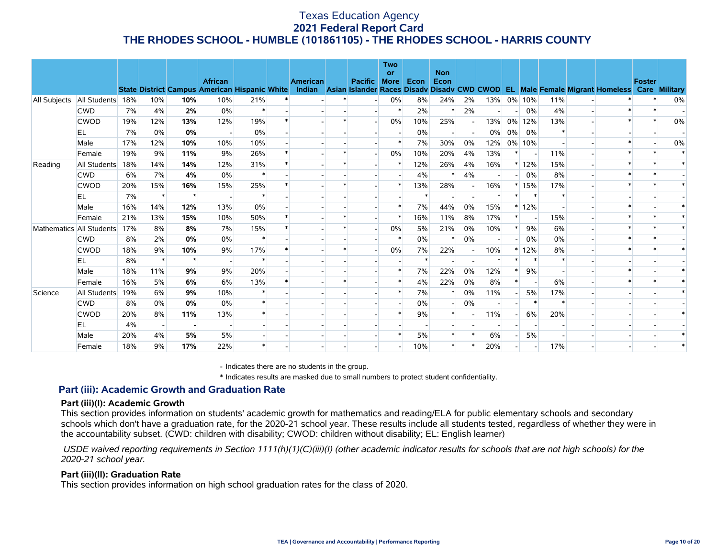|              |                          |     |                          |         | <b>African</b><br><b>State District Campus American Hispanic White</b> |        | <b>American</b> | Pacific More | <b>Two</b><br><b>or</b> | Econ | <b>Non</b><br>Econ |    |       |        |        |         | Indian Asian Islander Races Disadv Disadv CWD CWOD EL Male Female Migrant Homeless Care Military | <b>Foster</b> |    |
|--------------|--------------------------|-----|--------------------------|---------|------------------------------------------------------------------------|--------|-----------------|--------------|-------------------------|------|--------------------|----|-------|--------|--------|---------|--------------------------------------------------------------------------------------------------|---------------|----|
| All Subjects | All Students             | 18% | 10%                      | 10%     | 10%                                                                    | 21%    |                 |              | 0%                      | 8%   | 24%                | 2% | 13%   |        | 0% 10% | 11%     |                                                                                                  |               | 0% |
|              | <b>CWD</b>               | 7%  | 4%                       | 2%      | 0%                                                                     | $\ast$ |                 |              | $\ast$                  | 2%   |                    | 2% |       |        | 0%     | 4%      |                                                                                                  |               |    |
|              | <b>CWOD</b>              | 19% | 12%                      | 13%     | 12%                                                                    | 19%    |                 |              | 0%                      | 10%  | 25%                |    | 13%   | $0\%$  | 12%    | 13%     |                                                                                                  |               | 0% |
|              | EL                       | 7%  | 0%                       | 0%      |                                                                        | 0%     |                 |              |                         | 0%   |                    |    | $0\%$ | $0\%$  | 0%     |         |                                                                                                  |               |    |
|              | Male                     | 17% | 12%                      | 10%     | 10%                                                                    | 10%    |                 |              |                         | 7%   | 30%                | 0% | 12%   |        | 0% 10% |         |                                                                                                  |               | 0% |
|              | Female                   | 19% | 9%                       | 11%     | 9%                                                                     | 26%    |                 |              | 0%                      | 10%  | 20%                | 4% | 13%   | $\ast$ |        | 11%     |                                                                                                  |               |    |
| Reading      | All Students             | 18% | 14%                      | 14%     | 12%                                                                    | 31%    |                 |              |                         | 12%  | 26%                | 4% | 16%   |        | $*12%$ | 15%     |                                                                                                  |               |    |
|              | <b>CWD</b>               | 6%  | 7%                       | 4%      | 0%                                                                     | $\ast$ |                 |              |                         | 4%   |                    | 4% |       |        | 0%     | 8%      |                                                                                                  |               |    |
|              | <b>CWOD</b>              | 20% | 15%                      | 16%     | 15%                                                                    | 25%    |                 |              |                         | 13%  | 28%                |    | 16%   |        | 15%    | 17%     |                                                                                                  |               |    |
|              | EL                       | 7%  | $\ast$                   | $\star$ |                                                                        | $\ast$ |                 |              |                         |      |                    |    |       |        |        | $\ast$  |                                                                                                  |               |    |
|              | Male                     | 16% | 14%                      | 12%     | 13%                                                                    | 0%     |                 |              |                         | 7%   | 44%                | 0% | 15%   |        | $*12%$ |         |                                                                                                  |               |    |
|              | Female                   | 21% | 13%                      | 15%     | 10%                                                                    | 50%    |                 |              |                         | 16%  | 11%                | 8% | 17%   | $\ast$ |        | 15%     |                                                                                                  |               |    |
|              | Mathematics All Students | 17% | 8%                       | 8%      | 7%                                                                     | 15%    |                 |              | $0\%$                   | 5%   | 21%                | 0% | 10%   | $\ast$ | 9%     | 6%      |                                                                                                  |               |    |
|              | <b>CWD</b>               | 8%  | 2%                       | 0%      | 0%                                                                     | $\ast$ |                 |              | $\ast$                  | 0%   | $\star$            | 0% |       |        | 0%     | 0%      |                                                                                                  |               |    |
|              | <b>CWOD</b>              | 18% | 9%                       | 10%     | 9%                                                                     | 17%    |                 |              | $0\%$                   | 7%   | 22%                |    | 10%   |        | 12%    | 8%      |                                                                                                  |               |    |
|              | EL                       | 8%  | $\ast$                   | $\star$ |                                                                        | $\ast$ |                 |              |                         |      |                    |    |       |        | $\ast$ | $\star$ |                                                                                                  |               |    |
|              | Male                     | 18% | 11%                      | 9%      | 9%                                                                     | 20%    |                 |              | $\ast$                  | 7%   | 22%                | 0% | 12%   | $\ast$ | 9%     |         |                                                                                                  |               |    |
|              | Female                   | 16% | 5%                       | 6%      | 6%                                                                     | 13%    |                 |              |                         | 4%   | 22%                | 0% | 8%    | $\ast$ |        | 6%      |                                                                                                  |               |    |
| Science      | All Students             | 19% | 6%                       | 9%      | 10%                                                                    |        |                 |              |                         | 7%   |                    | 0% | 11%   |        | 5%     | 17%     |                                                                                                  |               |    |
|              | <b>CWD</b>               | 8%  | 0%                       | 0%      | 0%                                                                     | $\ast$ |                 |              |                         | 0%   |                    | 0% |       |        | $\ast$ | $\ast$  |                                                                                                  |               |    |
|              | <b>CWOD</b>              | 20% | 8%                       | 11%     | 13%                                                                    |        |                 |              |                         | 9%   |                    |    | 11%   |        | 6%     | 20%     |                                                                                                  |               |    |
|              | EL                       | 4%  | $\overline{\phantom{a}}$ |         |                                                                        |        |                 |              |                         |      |                    |    |       |        |        |         |                                                                                                  |               |    |
|              | Male                     | 20% | 4%                       | 5%      | 5%                                                                     |        |                 |              |                         | 5%   |                    |    | 6%    |        | 5%     |         |                                                                                                  |               |    |
|              | Female                   | 18% | 9%                       | 17%     | 22%                                                                    |        |                 |              |                         | 10%  |                    |    | 20%   |        |        | 17%     |                                                                                                  |               |    |

- Indicates there are no students in the group.

\* Indicates results are masked due to small numbers to protect student confidentiality.

### **Part (iii): Academic Growth and Graduation Rate**

#### **Part (iii)(I): Academic Growth**

This section provides information on students' academic growth for mathematics and reading/ELA for public elementary schools and secondary schools which don't have a graduation rate, for the 2020-21 school year. These results include all students tested, regardless of whether they were in the accountability subset. (CWD: children with disability; CWOD: children without disability; EL: English learner)

 *USDE waived reporting requirements in Section 1111(h)(1)(C)(iii)(I) (other academic indicator results for schools that are not high schools) for the 2020-21 school year.*

#### **Part (iii)(II): Graduation Rate**

This section provides information on high school graduation rates for the class of 2020.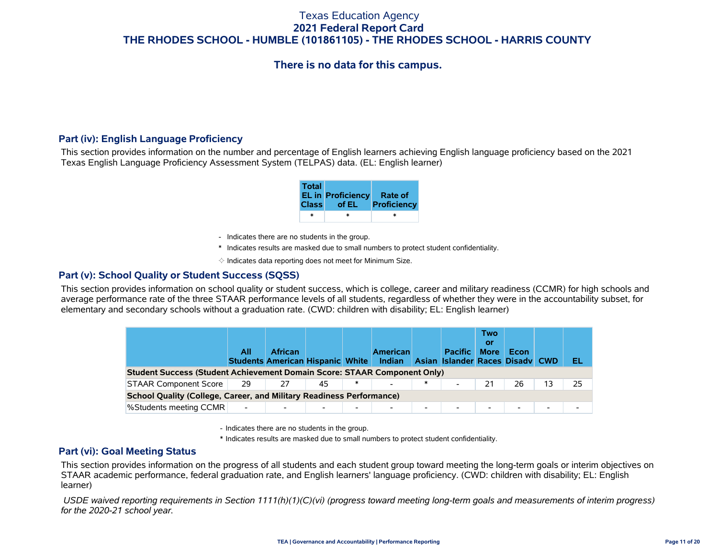# **There is no data for this campus.**

### **Part (iv): English Language Proficiency**

This section provides information on the number and percentage of English learners achieving English language proficiency based on the 2021 Texas English Language Proficiency Assessment System (TELPAS) data. (EL: English learner)

| <b>Total</b> | EL in Proficiency Rate of<br>Class of EL | Proficiency |
|--------------|------------------------------------------|-------------|
| ж            | *                                        | ж           |

- Indicates there are no students in the group.
- \* Indicates results are masked due to small numbers to protect student confidentiality.
- $\diamond$  Indicates data reporting does not meet for Minimum Size.

#### **Part (v): School Quality or Student Success (SQSS)**

This section provides information on school quality or student success, which is college, career and military readiness (CCMR) for high schools and average performance rate of the three STAAR performance levels of all students, regardless of whether they were in the accountability subset, for elementary and secondary schools without a graduation rate. (CWD: children with disability; EL: English learner)

|                                                                                 | All                      | <b>African</b><br>Students American Hispanic White |    |        | <b>American</b><br>Indian |   | <b>Pacific</b><br>Asian Islander Races Disady CWD | <b>Two</b><br>Οľ<br><b>More</b> | Econ                     |    | EL |
|---------------------------------------------------------------------------------|--------------------------|----------------------------------------------------|----|--------|---------------------------|---|---------------------------------------------------|---------------------------------|--------------------------|----|----|
| <b>Student Success (Student Achievement Domain Score: STAAR Component Only)</b> |                          |                                                    |    |        |                           |   |                                                   |                                 |                          |    |    |
| <b>STAAR Component Score</b>                                                    | 29                       | 27                                                 | 45 | $\ast$ |                           | ∗ |                                                   |                                 | 26                       | 13 | 25 |
| <b>School Quality (College, Career, and Military Readiness Performance)</b>     |                          |                                                    |    |        |                           |   |                                                   |                                 |                          |    |    |
| <b>%Students meeting CCMR</b>                                                   | $\overline{\phantom{a}}$ |                                                    |    | ۰.     |                           | - |                                                   |                                 | $\overline{\phantom{a}}$ | ۰. |    |

- Indicates there are no students in the group.
- \* Indicates results are masked due to small numbers to protect student confidentiality.

### **Part (vi): Goal Meeting Status**

This section provides information on the progress of all students and each student group toward meeting the long-term goals or interim objectives on STAAR academic performance, federal graduation rate, and English learners' language proficiency. (CWD: children with disability; EL: English learner)

 *USDE waived reporting requirements in Section 1111(h)(1)(C)(vi) (progress toward meeting long-term goals and measurements of interim progress) for the 2020-21 school year.*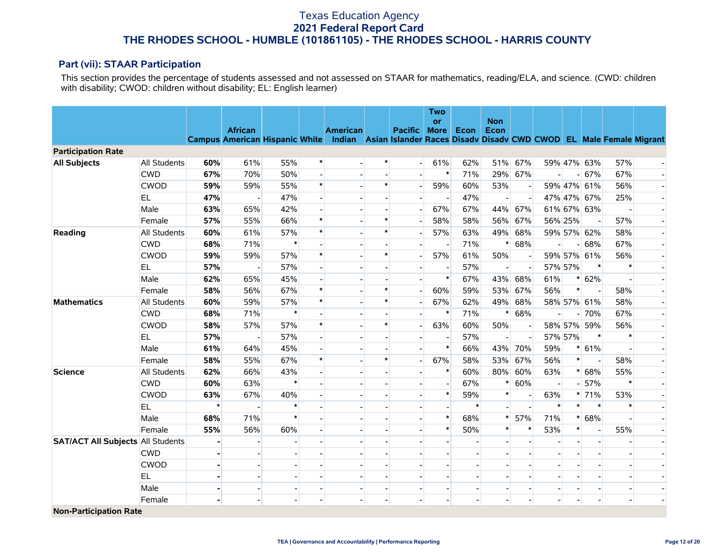### **Part (vii): STAAR Participation**

This section provides the percentage of students assessed and not assessed on STAAR for mathematics, reading/ELA, and science. (CWD: children with disability; CWOD: children without disability; EL: English learner)

|                                          |              |         |                |        |        |                                                                                                          |        |         | <b>Two</b>               |        |                          |                          |         |        |                          |                          |  |
|------------------------------------------|--------------|---------|----------------|--------|--------|----------------------------------------------------------------------------------------------------------|--------|---------|--------------------------|--------|--------------------------|--------------------------|---------|--------|--------------------------|--------------------------|--|
|                                          |              |         | <b>African</b> |        |        | <b>American</b>                                                                                          |        | Pacific | <b>or</b><br><b>More</b> | Econ   | <b>Non</b><br>Econ       |                          |         |        |                          |                          |  |
|                                          |              |         |                |        |        | Campus American Hispanic White Indian Asian Islander Races Disadv Disadv CWD CWOD EL Male Female Migrant |        |         |                          |        |                          |                          |         |        |                          |                          |  |
| <b>Participation Rate</b>                |              |         |                |        |        |                                                                                                          |        |         |                          |        |                          |                          |         |        |                          |                          |  |
| <b>All Subjects</b>                      | All Students | 60%     | 61%            | 55%    | $\ast$ |                                                                                                          | $\ast$ |         | 61%                      | 62%    | 51%                      | 67%                      |         |        | 59% 47% 63%              | 57%                      |  |
|                                          | <b>CWD</b>   | 67%     | 70%            | 50%    |        |                                                                                                          |        |         | $\ast$                   | 71%    | 29%                      | 67%                      |         |        | $- 67%$                  | 67%                      |  |
|                                          | <b>CWOD</b>  | 59%     | 59%            | 55%    | $\ast$ |                                                                                                          | $\ast$ |         | 59%                      | 60%    | 53%                      | $\overline{\phantom{a}}$ |         |        | 59% 47% 61%              | 56%                      |  |
|                                          | <b>EL</b>    | 47%     |                | 47%    |        |                                                                                                          |        |         |                          | 47%    |                          | $\sim$                   |         |        | 47% 47% 67%              | 25%                      |  |
|                                          | Male         | 63%     | 65%            | 42%    |        |                                                                                                          |        |         | 67%                      | 67%    | 44%                      | 67%                      |         |        | 61% 67% 63%              |                          |  |
|                                          | Female       | 57%     | 55%            | 66%    | $\ast$ |                                                                                                          | $\ast$ |         | 58%                      | 58%    | 56%                      | 67%                      | 56% 25% |        | $\overline{\phantom{a}}$ | 57%                      |  |
| Reading                                  | All Students | 60%     | 61%            | 57%    | $\ast$ |                                                                                                          | $\ast$ |         | 57%                      | 63%    | 49%                      | 68%                      |         |        | 59% 57% 62%              | 58%                      |  |
|                                          | <b>CWD</b>   | 68%     | 71%            | $\ast$ |        |                                                                                                          |        |         |                          | 71%    | $\ast$                   | 68%                      |         | - 1    | 68%                      | 67%                      |  |
|                                          | <b>CWOD</b>  | 59%     | 59%            | 57%    | $\ast$ |                                                                                                          | $\ast$ |         | 57%                      | 61%    | 50%                      | $\overline{\phantom{a}}$ |         |        | 59% 57% 61%              | 56%                      |  |
|                                          | <b>EL</b>    | 57%     |                | 57%    |        |                                                                                                          |        |         |                          | 57%    |                          |                          | 57% 57% |        | $\ast$                   | $\ast$                   |  |
|                                          | Male         | 62%     | 65%            | 45%    |        |                                                                                                          |        |         | $\ast$                   | 67%    | 43%                      | 68%                      | 61%     |        | $* 62%$                  |                          |  |
|                                          | Female       | 58%     | 56%            | 67%    | $\ast$ |                                                                                                          | $\ast$ |         | 60%                      | 59%    | 53%                      | 67%                      | 56%     | $\ast$ | $\overline{\phantom{a}}$ | 58%                      |  |
| <b>Mathematics</b>                       | All Students | 60%     | 59%            | 57%    | $\ast$ |                                                                                                          | $\ast$ |         | 67%                      | 62%    | 49%                      | 68%                      |         |        | 58% 57% 61%              | 58%                      |  |
|                                          | <b>CWD</b>   | 68%     | 71%            | $\ast$ |        |                                                                                                          |        |         | $\ast$                   | 71%    | $\ast$                   | 68%                      |         |        | 70%                      | 67%                      |  |
|                                          | <b>CWOD</b>  | 58%     | 57%            | 57%    | $\ast$ |                                                                                                          | $\ast$ |         | 63%                      | 60%    | 50%                      |                          |         |        | 58% 57% 59%              | 56%                      |  |
|                                          | <b>EL</b>    | 57%     | $\blacksquare$ | 57%    |        |                                                                                                          |        |         |                          | 57%    | $\overline{\phantom{a}}$ | $\overline{\phantom{a}}$ | 57% 57% |        | $\ast$                   | $\ast$                   |  |
|                                          | Male         | 61%     | 64%            | 45%    |        |                                                                                                          |        |         | $\ast$                   | 66%    | 43%                      | 70%                      | 59%     |        | $* 61%$                  |                          |  |
|                                          | Female       | 58%     | 55%            | 67%    | $\ast$ |                                                                                                          | $\ast$ |         | 67%                      | 58%    | 53%                      | 67%                      | 56%     | $\ast$ | $\overline{\phantom{a}}$ | 58%                      |  |
| <b>Science</b>                           | All Students | 62%     | 66%            | 43%    |        |                                                                                                          |        |         | $\ast$                   | 60%    | 80%                      | 60%                      | 63%     |        | $* 68%$                  | 55%                      |  |
|                                          | <b>CWD</b>   | 60%     | 63%            | $\ast$ |        |                                                                                                          |        |         |                          | 67%    | $\ast$                   | 60%                      |         |        | 57%                      | $\ast$                   |  |
|                                          | <b>CWOD</b>  | 63%     | 67%            | 40%    |        |                                                                                                          |        |         | $\ast$                   | 59%    | $\ast$                   |                          | 63%     |        | $* 71%$                  | 53%                      |  |
|                                          | <b>EL</b>    | $\star$ |                |        |        |                                                                                                          |        |         |                          | $\ast$ |                          |                          | $\ast$  | $\ast$ | $\ast$                   | $\ast$                   |  |
|                                          | Male         | 68%     | 71%            | $\ast$ |        |                                                                                                          |        |         | $\ast$                   | 68%    | ∗                        | 57%                      | 71%     |        | $* 68%$                  |                          |  |
|                                          | Female       | 55%     | 56%            | 60%    |        |                                                                                                          |        |         | $\ast$                   | 50%    |                          | $\ast$                   | 53%     | $\ast$ | $\overline{\phantom{a}}$ | 55%                      |  |
| <b>SAT/ACT All Subjects All Students</b> |              |         |                |        |        |                                                                                                          |        |         |                          |        |                          |                          |         |        | $\blacksquare$           |                          |  |
|                                          | <b>CWD</b>   |         |                |        |        |                                                                                                          |        |         |                          |        |                          |                          |         |        |                          |                          |  |
|                                          | <b>CWOD</b>  |         |                |        |        |                                                                                                          |        |         |                          |        |                          |                          |         |        |                          |                          |  |
|                                          | <b>EL</b>    |         |                |        |        |                                                                                                          |        |         |                          |        |                          |                          |         |        |                          |                          |  |
|                                          | Male         | ۰       |                |        |        | $\overline{\phantom{a}}$                                                                                 |        |         | $\overline{\phantom{a}}$ |        |                          | $\overline{\phantom{a}}$ |         |        | $\overline{\phantom{a}}$ | $\overline{\phantom{a}}$ |  |
|                                          | Female       |         |                |        |        |                                                                                                          |        |         |                          |        |                          | $\overline{a}$           |         |        |                          | $\overline{a}$           |  |
| <b>Non-Participation Rate</b>            |              |         |                |        |        |                                                                                                          |        |         |                          |        |                          |                          |         |        |                          |                          |  |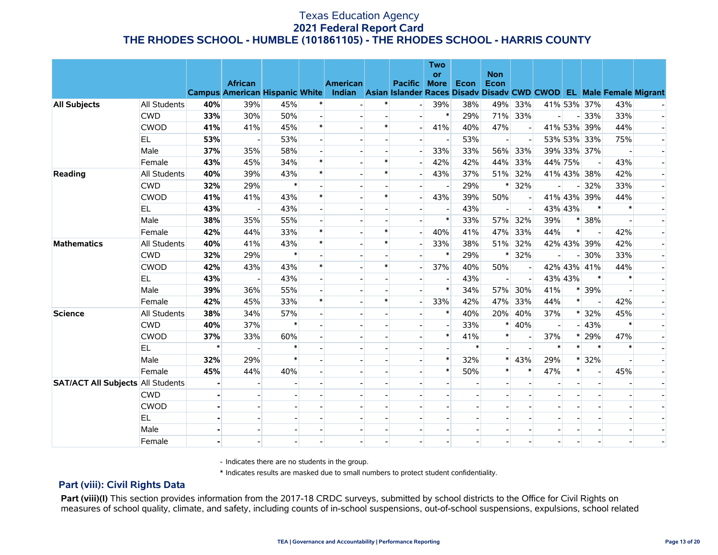|                                          |                     |         |                |        |        |                                                                                                                             |        |                | <b>Two</b><br><b>or</b> |      | <b>Non</b>               |         |         |                          |                |        |  |
|------------------------------------------|---------------------|---------|----------------|--------|--------|-----------------------------------------------------------------------------------------------------------------------------|--------|----------------|-------------------------|------|--------------------------|---------|---------|--------------------------|----------------|--------|--|
|                                          |                     |         | <b>African</b> |        |        | <b>American</b><br>Campus American Hispanic White Indian Asian Islander Races Disadv Disadv CWD CWOD EL Male Female Migrant |        | <b>Pacific</b> | <b>More</b>             | Econ | Econ                     |         |         |                          |                |        |  |
| <b>All Subjects</b>                      | <b>All Students</b> | 40%     | 39%            | 45%    |        |                                                                                                                             |        |                | 39%                     | 38%  | 49%                      | 33%     |         |                          | 41% 53% 37%    | 43%    |  |
|                                          | <b>CWD</b>          | 33%     | 30%            | 50%    |        |                                                                                                                             |        |                | $\ast$                  | 29%  |                          | 71% 33% |         |                          | $-33%$         | 33%    |  |
|                                          | <b>CWOD</b>         | 41%     | 41%            | 45%    | $\ast$ |                                                                                                                             | $\ast$ |                | 41%                     | 40%  | 47%                      | $\sim$  |         |                          | 41% 53% 39%    | 44%    |  |
|                                          | EL.                 | 53%     |                | 53%    |        |                                                                                                                             |        |                |                         | 53%  |                          |         |         |                          | 53% 53% 33%    | 75%    |  |
|                                          | Male                | 37%     | 35%            | 58%    |        |                                                                                                                             |        |                | 33%                     | 33%  | 56%                      | 33%     |         |                          | 39% 33% 37%    |        |  |
|                                          | Female              | 43%     | 45%            | 34%    |        |                                                                                                                             |        |                | 42%                     | 42%  | 44%                      | 33%     | 44% 75% |                          |                | 43%    |  |
| Reading                                  | <b>All Students</b> | 40%     | 39%            | 43%    | $\ast$ |                                                                                                                             | $\ast$ |                | 43%                     | 37%  | 51%                      | 32%     |         |                          | 41% 43% 38%    | 42%    |  |
|                                          | <b>CWD</b>          | 32%     | 29%            | $\ast$ |        |                                                                                                                             |        |                |                         | 29%  |                          | 32%     |         | $\overline{\phantom{0}}$ | 32%            | 33%    |  |
|                                          | <b>CWOD</b>         | 41%     | 41%            | 43%    | $\ast$ |                                                                                                                             | $\ast$ |                | 43%                     | 39%  | 50%                      |         |         |                          | 41% 43% 39%    | 44%    |  |
|                                          | EL                  | 43%     |                | 43%    |        |                                                                                                                             |        |                |                         | 43%  |                          |         | 43% 43% |                          | $\ast$         |        |  |
|                                          | Male                | 38%     | 35%            | 55%    |        |                                                                                                                             |        |                | $\ast$                  | 33%  | 57%                      | 32%     | 39%     |                          | * 38%          |        |  |
|                                          | Female              | 42%     | 44%            | 33%    | $\ast$ |                                                                                                                             | $\ast$ |                | 40%                     | 41%  | 47%                      | 33%     | 44%     | $\ast$                   |                | 42%    |  |
| <b>Mathematics</b>                       | <b>All Students</b> | 40%     | 41%            | 43%    | $\ast$ |                                                                                                                             | $\ast$ |                | 33%                     | 38%  | 51%                      | 32%     |         |                          | 42% 43% 39%    | 42%    |  |
|                                          | <b>CWD</b>          | 32%     | 29%            | $\ast$ |        |                                                                                                                             |        |                | $\ast$                  | 29%  | $\ast$                   | 32%     |         | - 1                      | 30%            | 33%    |  |
|                                          | <b>CWOD</b>         | 42%     | 43%            | 43%    |        |                                                                                                                             | $\ast$ |                | 37%                     | 40%  | 50%                      |         |         |                          | 42% 43% 41%    | 44%    |  |
|                                          | EL                  | 43%     |                | 43%    |        |                                                                                                                             |        |                |                         | 43%  | $\overline{\phantom{a}}$ |         | 43% 43% |                          | $\ast$         | $\ast$ |  |
|                                          | Male                | 39%     | 36%            | 55%    |        |                                                                                                                             |        |                | $\ast$                  | 34%  | 57%                      | 30%     | 41%     |                          | * 39%          |        |  |
|                                          | Female              | 42%     | 45%            | 33%    | $\ast$ |                                                                                                                             | $\ast$ |                | 33%                     | 42%  | 47%                      | 33%     | 44%     | $\ast$                   |                | 42%    |  |
| <b>Science</b>                           | <b>All Students</b> | 38%     | 34%            | 57%    |        |                                                                                                                             |        |                | $\ast$                  | 40%  | 20%                      | 40%     | 37%     |                          | * 32%          | 45%    |  |
|                                          | <b>CWD</b>          | 40%     | 37%            | $\ast$ |        |                                                                                                                             |        |                |                         | 33%  | $\ast$                   | 40%     |         |                          | $-43%$         | $\ast$ |  |
|                                          | <b>CWOD</b>         | 37%     | 33%            | 60%    |        |                                                                                                                             |        |                | $\ast$                  | 41%  |                          |         | 37%     |                          | * 29%          | 47%    |  |
|                                          | EL                  | $\star$ |                |        |        |                                                                                                                             |        |                |                         |      |                          |         | $\ast$  | $\ast$                   | $\ast$         | $\ast$ |  |
|                                          | Male                | 32%     | 29%            |        |        |                                                                                                                             |        |                | $\ast$                  | 32%  | $\ast$                   | 43%     | 29%     |                          | $*32%$         |        |  |
|                                          | Female              | 45%     | 44%            | 40%    |        |                                                                                                                             |        |                | $\ast$                  | 50%  | $\ast$                   | $\ast$  | 47%     | $\ast$                   | $\blacksquare$ | 45%    |  |
| <b>SAT/ACT All Subjects All Students</b> |                     |         |                |        |        |                                                                                                                             |        |                |                         |      |                          |         |         |                          |                |        |  |
|                                          | <b>CWD</b>          |         |                |        |        |                                                                                                                             |        |                |                         |      |                          |         |         |                          |                |        |  |
|                                          | <b>CWOD</b>         |         |                |        |        |                                                                                                                             |        |                |                         |      |                          |         |         |                          |                |        |  |
|                                          | EL                  |         |                |        |        |                                                                                                                             |        |                |                         |      |                          |         |         |                          |                |        |  |
|                                          | Male                |         |                |        |        |                                                                                                                             |        |                |                         |      |                          |         |         |                          |                |        |  |
|                                          | Female              |         |                |        |        |                                                                                                                             |        |                |                         |      |                          |         |         |                          |                |        |  |

- Indicates there are no students in the group.

\* Indicates results are masked due to small numbers to protect student confidentiality.

### **Part (viii): Civil Rights Data**

Part (viii)(I) This section provides information from the 2017-18 CRDC surveys, submitted by school districts to the Office for Civil Rights on measures of school quality, climate, and safety, including counts of in-school suspensions, out-of-school suspensions, expulsions, school related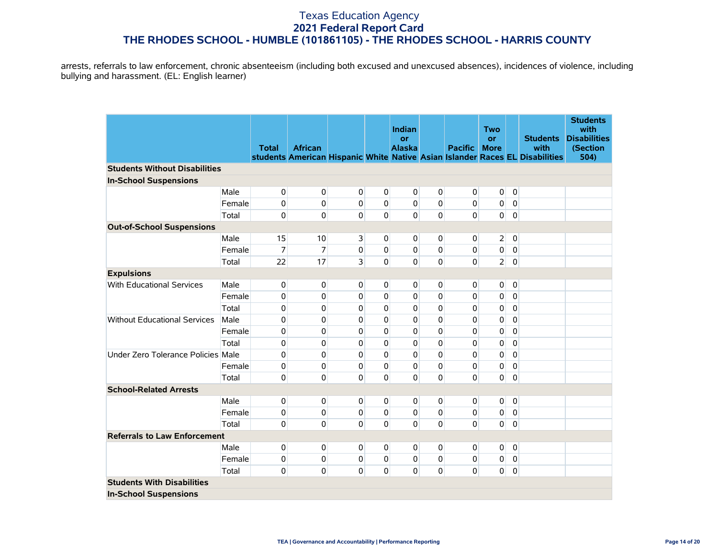arrests, referrals to law enforcement, chronic absenteeism (including both excused and unexcused absences), incidences of violence, including bullying and harassment. (EL: English learner)

|                                      |        |              |                |                |                | Indian                     |             |                | <b>Two</b>               |                |                                                                                                         | <b>Students</b><br>with                 |
|--------------------------------------|--------|--------------|----------------|----------------|----------------|----------------------------|-------------|----------------|--------------------------|----------------|---------------------------------------------------------------------------------------------------------|-----------------------------------------|
|                                      |        | <b>Total</b> | <b>African</b> |                |                | <b>or</b><br><b>Alaska</b> |             | <b>Pacific</b> | <b>or</b><br><b>More</b> |                | <b>Students</b><br>with<br>students American Hispanic White Native Asian Islander Races EL Disabilities | <b>Disabilities</b><br>(Section<br>504) |
| <b>Students Without Disabilities</b> |        |              |                |                |                |                            |             |                |                          |                |                                                                                                         |                                         |
| <b>In-School Suspensions</b>         |        |              |                |                |                |                            |             |                |                          |                |                                                                                                         |                                         |
|                                      | Male   | 0            | 0              | $\Omega$       | $\overline{0}$ | $\overline{0}$             | $\mathbf 0$ | $\overline{0}$ | $\mathbf 0$              | $\mathbf 0$    |                                                                                                         |                                         |
|                                      | Female | 0            | 0              | $\mathbf{0}$   | $\overline{0}$ | $\overline{0}$             | $\mathbf 0$ | $\overline{0}$ | 0                        | $\overline{0}$ |                                                                                                         |                                         |
|                                      | Total  | 0            | 0              | $\mathbf{0}$   | $\Omega$       | $\overline{0}$             | $\mathbf 0$ | $\mathbf 0$    | $\overline{0}$           | 0              |                                                                                                         |                                         |
| <b>Out-of-School Suspensions</b>     |        |              |                |                |                |                            |             |                |                          |                |                                                                                                         |                                         |
|                                      | Male   | 15           | 10             | $\overline{3}$ | $\overline{0}$ | 0                          | 0           | $\overline{0}$ | $\overline{2}$           | $\mathbf 0$    |                                                                                                         |                                         |
|                                      | Female | 7            | $\overline{7}$ | $\pmb{0}$      | $\overline{0}$ | 0                          | $\mathbf 0$ | $\overline{0}$ | $\pmb{0}$                | 0              |                                                                                                         |                                         |
|                                      | Total  | 22           | 17             | $\overline{3}$ | $\Omega$       | $\overline{0}$             | $\mathbf 0$ | 0              | 2 <sup>1</sup>           | $\mathbf 0$    |                                                                                                         |                                         |
| <b>Expulsions</b>                    |        |              |                |                |                |                            |             |                |                          |                |                                                                                                         |                                         |
| <b>With Educational Services</b>     | Male   | 0            | 0              | $\Omega$       | $\overline{0}$ | $\overline{0}$             | $\mathbf 0$ | $\overline{0}$ | 0                        | $\mathbf 0$    |                                                                                                         |                                         |
|                                      | Female | 0            | 0              | $\mathbf{0}$   | 0              | 0                          | 0           | 0              | 0                        | 0              |                                                                                                         |                                         |
|                                      | Total  | 0            | 0              | 0              | $\Omega$       | 0                          | $\mathbf 0$ | 0              | 0                        | 0              |                                                                                                         |                                         |
| <b>Without Educational Services</b>  | Male   | 0            | 0              | $\Omega$       | $\Omega$       | $\Omega$                   | $\mathbf 0$ | 0              | $\pmb{0}$                | $\pmb{0}$      |                                                                                                         |                                         |
|                                      | Female | 0            | 0              | $\Omega$       | $\Omega$       | 0                          | $\mathbf 0$ | 0              | 0                        | 0              |                                                                                                         |                                         |
|                                      | Total  | 0            | 0              | $\mathbf{0}$   | $\Omega$       | 0                          | $\Omega$    | 0              | $\pmb{0}$                | $\pmb{0}$      |                                                                                                         |                                         |
| Under Zero Tolerance Policies Male   |        | 0            | 0              | $\Omega$       | $\Omega$       | 0                          | $\mathbf 0$ | 0              | $\pmb{0}$                | $\mathbf 0$    |                                                                                                         |                                         |
|                                      | Female | 0            | $\mathbf{0}$   | $\Omega$       | $\Omega$       | $\Omega$                   | $\Omega$    | $\overline{0}$ | 0                        | $\mathbf 0$    |                                                                                                         |                                         |
|                                      | Total  | 0            | 0              | $\Omega$       | $\Omega$       | 0                          | $\mathbf 0$ | $\Omega$       | 0                        | 0              |                                                                                                         |                                         |
| <b>School-Related Arrests</b>        |        |              |                |                |                |                            |             |                |                          |                |                                                                                                         |                                         |
|                                      | Male   | 0            | 0              | 0              | $\overline{0}$ | 0                          | $\mathbf 0$ | 0              | 0                        | 0              |                                                                                                         |                                         |
|                                      | Female | 0            | $\pmb{0}$      | 0              | $\mathbf{0}$   | $\mathbf{0}$               | 0           | $\overline{0}$ | $\pmb{0}$                | $\overline{0}$ |                                                                                                         |                                         |
|                                      | Total  | 0            | $\mathbf{0}$   | $\Omega$       | $\Omega$       | $\overline{0}$             | $\mathbf 0$ | $\Omega$       | $\mathbf{0}$             | $\mathbf 0$    |                                                                                                         |                                         |
| <b>Referrals to Law Enforcement</b>  |        |              |                |                |                |                            |             |                |                          |                |                                                                                                         |                                         |
|                                      | Male   | 0            | 0              | $\mathbf{0}$   | $\overline{0}$ | 0                          | $\mathbf 0$ | $\overline{0}$ | $\mathbf 0$              | $\pmb{0}$      |                                                                                                         |                                         |
|                                      | Female | 0            | $\mathbf{0}$   | $\mathbf{0}$   | $\mathbf{0}$   | $\overline{0}$             | $\mathbf 0$ | $\overline{0}$ | 0                        | $\overline{0}$ |                                                                                                         |                                         |
|                                      | Total  | 0            | 0              | $\Omega$       | $\Omega$       | $\mathbf{0}$               | $\mathbf 0$ | $\overline{0}$ | $\mathbf 0$              | 0              |                                                                                                         |                                         |
| <b>Students With Disabilities</b>    |        |              |                |                |                |                            |             |                |                          |                |                                                                                                         |                                         |
| <b>In-School Suspensions</b>         |        |              |                |                |                |                            |             |                |                          |                |                                                                                                         |                                         |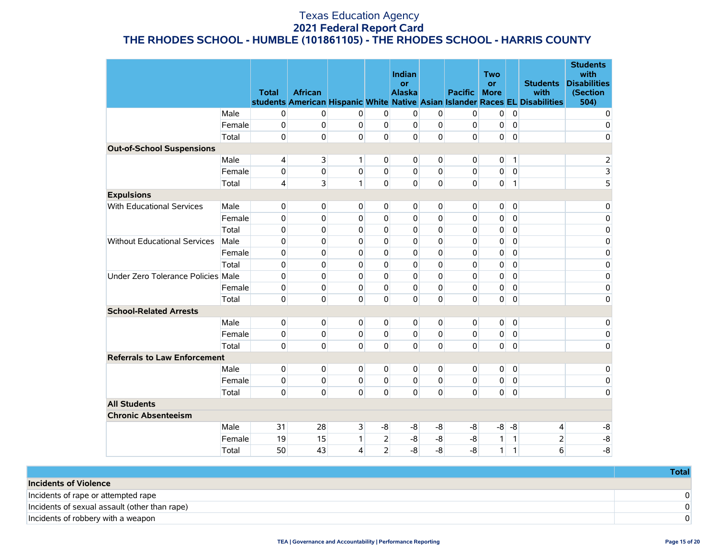|                                     |        | <b>Total</b>   | <b>African</b> |              |                | Indian<br>or<br><b>Alaska</b> |              | <b>Pacific</b> | <b>Two</b><br><b>or</b><br><b>More</b> |              | <b>Students</b><br>with<br>students American Hispanic White Native Asian Islander Races EL Disabilities | <b>Students</b><br>with<br><b>Disabilities</b><br>(Section<br>504) |
|-------------------------------------|--------|----------------|----------------|--------------|----------------|-------------------------------|--------------|----------------|----------------------------------------|--------------|---------------------------------------------------------------------------------------------------------|--------------------------------------------------------------------|
|                                     | Male   | 0              | 0              | 0            | 0              | 0                             | 0            | 0              | 0                                      | $\pmb{0}$    |                                                                                                         | 0                                                                  |
|                                     | Female | 0              | 0              | 0            | $\Omega$       | $\overline{0}$                | 0            | 0              | 0                                      | $\mathbf 0$  |                                                                                                         | 0                                                                  |
|                                     | Total  | 0              | 0              | 0            | 0              | $\overline{0}$                | $\mathbf 0$  | $\Omega$       | 0                                      | $\mathbf 0$  |                                                                                                         | 0                                                                  |
| <b>Out-of-School Suspensions</b>    |        |                |                |              |                |                               |              |                |                                        |              |                                                                                                         |                                                                    |
|                                     | Male   | $\overline{4}$ | 3              | 1            | $\Omega$       | $\overline{0}$                | 0            | 0              | 0                                      | 1            |                                                                                                         | 2                                                                  |
|                                     | Female | 0              | 0              | 0            | $\Omega$       | $\Omega$                      | 0            | 0              | 0                                      | $\mathbf 0$  |                                                                                                         |                                                                    |
|                                     | Total  | 4              | 3              | 1            | $\Omega$       | $\overline{0}$                | $\mathbf{0}$ | $\Omega$       | 0                                      | $\mathbf{1}$ |                                                                                                         | $\frac{3}{5}$                                                      |
| <b>Expulsions</b>                   |        |                |                |              |                |                               |              |                |                                        |              |                                                                                                         |                                                                    |
| With Educational Services           | Male   | $\mathbf 0$    | 0              | 0            | $\overline{0}$ | $\overline{0}$                | 0            | 0              | 0                                      | $\mathbf 0$  |                                                                                                         | 0                                                                  |
|                                     | Female | 0              | 0              | 0            | $\Omega$       | 0                             | $\mathbf 0$  | 0              | 0                                      | $\mathbf 0$  |                                                                                                         | 0                                                                  |
|                                     | Total  | 0              | 0              | 0            | $\Omega$       | $\Omega$                      | 0            | 0              | 0                                      | $\mathbf 0$  |                                                                                                         | 0                                                                  |
| <b>Without Educational Services</b> | Male   | 0              | $\Omega$       | 0            | $\Omega$       | $\mathbf{0}$                  | 0            | $\Omega$       | 0                                      | $\mathbf 0$  |                                                                                                         | 0                                                                  |
|                                     | Female | 0              | 0              | 0            | 0              | 0                             | 0            | 0              | 0                                      | $\mathbf 0$  |                                                                                                         | 0                                                                  |
|                                     | Total  | 0              | 0              | 0            | 0              | $\mathbf 0$                   | 0            | 0              | 0                                      | $\mathbf 0$  |                                                                                                         | 0                                                                  |
| Under Zero Tolerance Policies Male  |        | 0              | 0              | 0            | $\Omega$       | $\mathbf{0}$                  | $\mathbf 0$  | 0              | 0                                      | $\Omega$     |                                                                                                         | 0                                                                  |
|                                     | Female | 0              | 0              | 0            | $\Omega$       | 0                             | $\mathbf 0$  | 0              | 0                                      | $\mathbf 0$  |                                                                                                         | 0                                                                  |
|                                     | Total  | $\mathbf 0$    | $\Omega$       | 0            | $\Omega$       | $\overline{0}$                | 0            | $\mathbf{0}$   | 0                                      | $\mathbf 0$  |                                                                                                         | 0                                                                  |
| <b>School-Related Arrests</b>       |        |                |                |              |                |                               |              |                |                                        |              |                                                                                                         |                                                                    |
|                                     | Male   | 0              | 0              | 0            | $\overline{0}$ | $\overline{0}$                | 0            | 0              | 0                                      | $\mathbf 0$  |                                                                                                         | 0                                                                  |
|                                     | Female | 0              | 0              | $\Omega$     | $\Omega$       | $\Omega$                      | $\mathbf{0}$ | 0              | 0                                      | $\mathbf 0$  |                                                                                                         | 0                                                                  |
|                                     | Total  | $\mathbf 0$    | $\Omega$       | $\Omega$     | $\Omega$       | $\overline{0}$                | $\mathbf 0$  | $\Omega$       | 0                                      | $\mathbf 0$  |                                                                                                         | 0                                                                  |
| <b>Referrals to Law Enforcement</b> |        |                |                |              |                |                               |              |                |                                        |              |                                                                                                         |                                                                    |
|                                     | Male   | 0              | 0              | 0            | 0              | $\overline{0}$                | 0            | 0              | 0                                      | $\mathbf 0$  |                                                                                                         | 0                                                                  |
|                                     | Female | 0              | 0              | 0            | 0              | $\overline{0}$                | 0            | 0              | 0                                      | $\mathbf 0$  |                                                                                                         | 0                                                                  |
|                                     | Total  | $\mathbf 0$    | 0              | $\Omega$     | $\Omega$       | $\Omega$                      | $\Omega$     | $\Omega$       | $\Omega$                               | $\Omega$     |                                                                                                         | 0                                                                  |
| <b>All Students</b>                 |        |                |                |              |                |                               |              |                |                                        |              |                                                                                                         |                                                                    |
| <b>Chronic Absenteeism</b>          |        |                |                |              |                |                               |              |                |                                        |              |                                                                                                         |                                                                    |
|                                     | Male   | 31             | 28             | 3            | -8             | -8                            | -8           | -8             | $-8$                                   | -8           | 4                                                                                                       | -8                                                                 |
|                                     | Female | 19             | 15             | $\mathbf{1}$ | $\overline{2}$ | -8                            | $-8$         | -8             | 1                                      | $\mathbf{1}$ | $\overline{2}$                                                                                          | $-8$                                                               |
|                                     | Total  | 50             | 43             | 4            | $\overline{2}$ | $-8$                          | $-8$         | $-8$           | 1                                      | $\mathbf{1}$ | 6                                                                                                       | $-8$                                                               |

|                                               | Total |
|-----------------------------------------------|-------|
| <b>Incidents of Violence</b>                  |       |
| Incidents of rape or attempted rape           |       |
| Incidents of sexual assault (other than rape) |       |
| Incidents of robbery with a weapon            |       |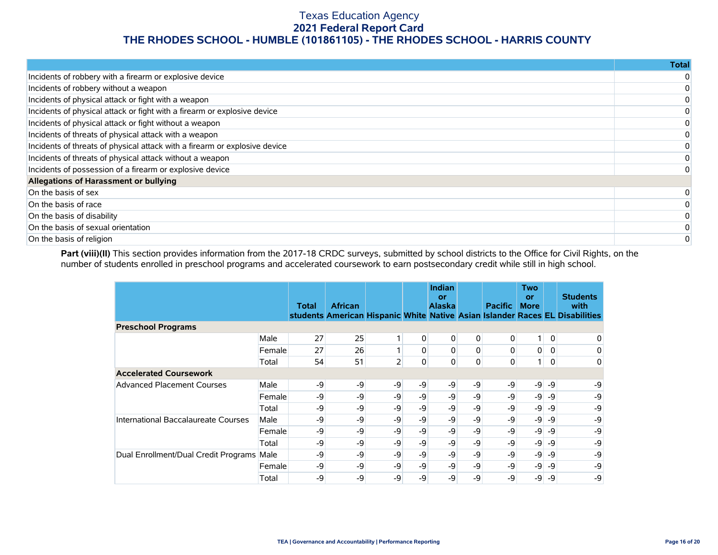|                                                                            | <b>Total</b> |
|----------------------------------------------------------------------------|--------------|
| Incidents of robbery with a firearm or explosive device                    |              |
| Incidents of robbery without a weapon                                      |              |
| Incidents of physical attack or fight with a weapon                        |              |
| Incidents of physical attack or fight with a firearm or explosive device   |              |
| Incidents of physical attack or fight without a weapon                     |              |
| Incidents of threats of physical attack with a weapon                      |              |
| Incidents of threats of physical attack with a firearm or explosive device |              |
| Incidents of threats of physical attack without a weapon                   |              |
| Incidents of possession of a firearm or explosive device                   |              |
| Allegations of Harassment or bullying                                      |              |
| On the basis of sex                                                        |              |
| On the basis of race                                                       |              |
| On the basis of disability                                                 |              |
| On the basis of sexual orientation                                         |              |
| On the basis of religion                                                   |              |

Part (viii)(II) This section provides information from the 2017-18 CRDC surveys, submitted by school districts to the Office for Civil Rights, on the number of students enrolled in preschool programs and accelerated coursework to earn postsecondary credit while still in high school.

|                                           |        | <b>Total</b> | <b>African</b> |      |          | <b>Indian</b><br>or<br><b>Alaska</b> |    | <b>Pacific</b> | <b>Two</b><br>or<br><b>More</b> |              | <b>Students</b><br>with<br>students American Hispanic White Native Asian Islander Races EL Disabilities |
|-------------------------------------------|--------|--------------|----------------|------|----------|--------------------------------------|----|----------------|---------------------------------|--------------|---------------------------------------------------------------------------------------------------------|
| <b>Preschool Programs</b>                 |        |              |                |      |          |                                      |    |                |                                 |              |                                                                                                         |
|                                           | Male   | 27           | 25             |      | 0        | $\overline{0}$                       | 0  | $\overline{0}$ | 1 <sup>1</sup>                  | $\mathbf{0}$ | 0                                                                                                       |
|                                           | Female | 27           | 26             |      | 0        | $\mathbf{0}$                         | 0  | $\Omega$       | $\overline{0}$                  | $\Omega$     | 0                                                                                                       |
|                                           | Total  | 54           | 51             | 2    | $\Omega$ | $\mathbf{0}$                         | 0  | $\mathbf{0}$   | 1 <sup>1</sup>                  | $\mathbf{0}$ | 0                                                                                                       |
| <b>Accelerated Coursework</b>             |        |              |                |      |          |                                      |    |                |                                 |              |                                                                                                         |
| <b>Advanced Placement Courses</b>         | Male   | -9           | -9             | -9   | -9       | $-9$                                 | -9 | $-9$           | $-9$                            | -9           | -9                                                                                                      |
|                                           | Female | -9           | -9             | -9   | $-9$     | -9                                   | -9 | $-9$           | -9                              | -9           | -9                                                                                                      |
|                                           | Total  | -9           | -9             | -9   | -9       | -9                                   | -9 | -9             | -9                              | $-9$         | -9                                                                                                      |
| International Baccalaureate Courses       | Male   | -9           | -9             | -9   | $-9$     | -9                                   | -9 | $-9$           | -9                              | $-9$         | -9                                                                                                      |
|                                           | Female | -9           | -9             | -9   | -9       | -9                                   | -9 | -9             | -9                              | -9           | -9                                                                                                      |
|                                           | Total  | -9           | -9             | -9   | -9       | -9                                   | -9 | -9             | $-9$                            | -9           | -9                                                                                                      |
| Dual Enrollment/Dual Credit Programs Male |        | -9           | -9             | -9   | -9       | -9                                   | -9 | -9             | $-9$                            | -9           | -9                                                                                                      |
|                                           | Female | -9           | -9             | $-9$ | $-9$     | $-9$                                 | -9 | $-9$           | $-9$                            | -9           | -9                                                                                                      |
|                                           | Total  | -9           | -9             | -9   | -9       | -9                                   | -9 | -9             | -9                              | -9           | -9                                                                                                      |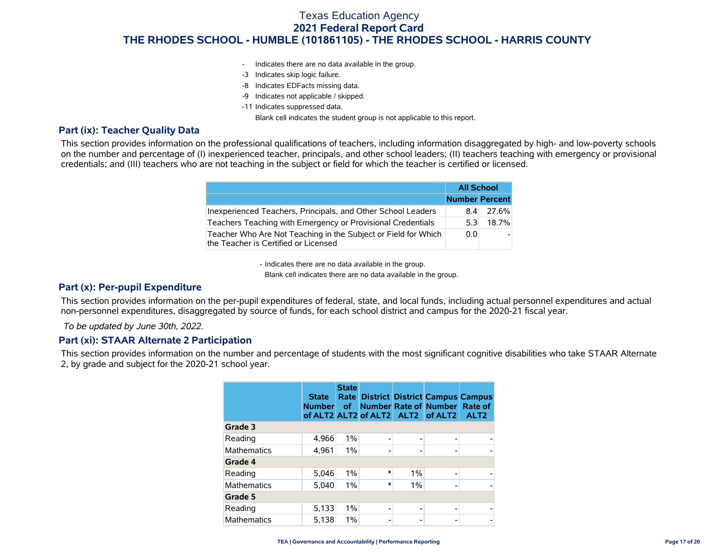- Indicates there are no data available in the group.
- -3 Indicates skip logic failure.
- -8 Indicates EDFacts missing data.
- -9 Indicates not applicable / skipped.
- -11 Indicates suppressed data.

Blank cell indicates the student group is not applicable to this report.

### **Part (ix): Teacher Quality Data**

This section provides information on the professional qualifications of teachers, including information disaggregated by high- and low-poverty schools on the number and percentage of (I) inexperienced teacher, principals, and other school leaders; (II) teachers teaching with emergency or provisional credentials; and (III) teachers who are not teaching in the subject or field for which the teacher is certified or licensed.

|                                                                                                        | <b>All School</b>     |       |
|--------------------------------------------------------------------------------------------------------|-----------------------|-------|
|                                                                                                        | <b>Number Percent</b> |       |
| Inexperienced Teachers, Principals, and Other School Leaders                                           | 8.4                   | 27.6% |
| Teachers Teaching with Emergency or Provisional Credentials                                            | 5.3                   | 18.7% |
| Teacher Who Are Not Teaching in the Subject or Field for Which<br>the Teacher is Certified or Licensed | 0.0                   |       |

- Indicates there are no data available in the group.

Blank cell indicates there are no data available in the group.

### **Part (x): Per-pupil Expenditure**

This section provides information on the per-pupil expenditures of federal, state, and local funds, including actual personnel expenditures and actual non-personnel expenditures, disaggregated by source of funds, for each school district and campus for the 2020-21 fiscal year.

 *To be updated by June 30th, 2022.*

#### **Part (xi): STAAR Alternate 2 Participation**

This section provides information on the number and percentage of students with the most significant cognitive disabilities who take STAAR Alternate 2, by grade and subject for the 2020-21 school year.

|                    | <b>State</b><br><b>Number</b> | <b>State</b><br>Rate<br><b>of</b> |        |       | <b>District District Campus Campus</b><br>Number Rate of Number Rate of<br>of ALT2 ALT2 of ALT2 ALT2 of ALT2 | ALT <sub>2</sub> |
|--------------------|-------------------------------|-----------------------------------|--------|-------|--------------------------------------------------------------------------------------------------------------|------------------|
| Grade 3            |                               |                                   |        |       |                                                                                                              |                  |
| Reading            | 4,966                         | 1%                                | ۰      |       |                                                                                                              |                  |
| <b>Mathematics</b> | 4,961                         | $1\%$                             | ۰      |       |                                                                                                              |                  |
| Grade 4            |                               |                                   |        |       |                                                                                                              |                  |
| Reading            | 5.046                         | $1\%$                             | $\ast$ | $1\%$ |                                                                                                              |                  |
| <b>Mathematics</b> | 5,040                         | 1%                                | $\ast$ | $1\%$ |                                                                                                              |                  |
| Grade 5            |                               |                                   |        |       |                                                                                                              |                  |
| Reading            | 5,133                         | $1\%$                             |        |       |                                                                                                              |                  |
| <b>Mathematics</b> | 5,138                         | 1%                                |        |       |                                                                                                              |                  |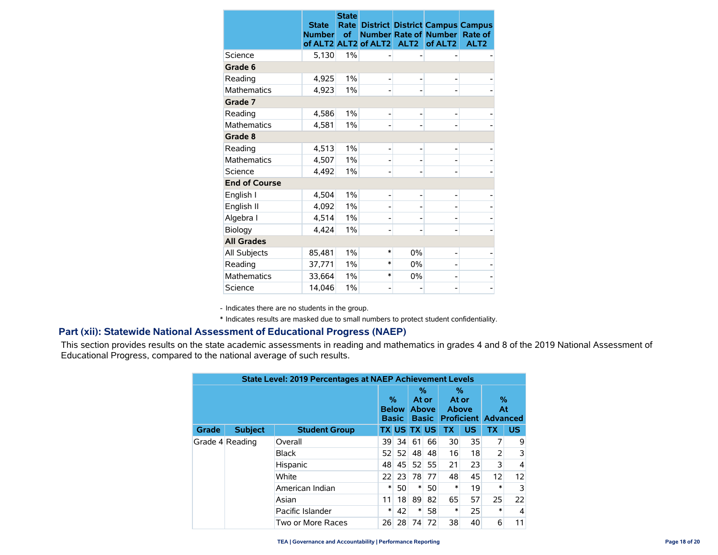|                      | <b>State</b><br><b>Number</b> | <b>State</b><br>Rate<br>of | of ALT2 ALT2 of ALT2 | ALT <sub>2</sub> | <b>District District Campus Campus</b><br><b>Number Rate of Number</b><br>of ALT <sub>2</sub> | Rate of<br>ALT <sub>2</sub> |
|----------------------|-------------------------------|----------------------------|----------------------|------------------|-----------------------------------------------------------------------------------------------|-----------------------------|
| Science              | 5,130                         | 1%                         |                      |                  |                                                                                               |                             |
| Grade 6              |                               |                            |                      |                  |                                                                                               |                             |
| Reading              | 4,925                         | 1%                         |                      |                  |                                                                                               |                             |
| <b>Mathematics</b>   | 4,923                         | 1%                         |                      |                  |                                                                                               |                             |
| Grade 7              |                               |                            |                      |                  |                                                                                               |                             |
| Reading              | 4,586                         | 1%                         |                      |                  |                                                                                               |                             |
| <b>Mathematics</b>   | 4,581                         | $1\%$                      |                      |                  |                                                                                               |                             |
| Grade 8              |                               |                            |                      |                  |                                                                                               |                             |
| Reading              | 4,513                         | $1\%$                      |                      | -                |                                                                                               |                             |
| <b>Mathematics</b>   | 4,507                         | 1%                         |                      |                  |                                                                                               |                             |
| Science              | 4,492                         | 1%                         |                      |                  |                                                                                               |                             |
| <b>End of Course</b> |                               |                            |                      |                  |                                                                                               |                             |
| English I            | 4,504                         | 1%                         |                      |                  |                                                                                               |                             |
| English II           | 4,092                         | 1%                         |                      |                  |                                                                                               |                             |
| Algebra I            | 4,514                         | 1%                         |                      |                  |                                                                                               |                             |
| Biology              | 4,424                         | 1%                         |                      |                  |                                                                                               |                             |
| <b>All Grades</b>    |                               |                            |                      |                  |                                                                                               |                             |
| All Subjects         | 85,481                        | 1%                         | $\ast$               | 0%               |                                                                                               |                             |
| Reading              | 37,771                        | 1%                         | $\ast$               | 0%               |                                                                                               |                             |
| <b>Mathematics</b>   | 33,664                        | 1%                         | $\ast$               | 0%               |                                                                                               |                             |
| Science              | 14,046                        | 1%                         |                      |                  |                                                                                               |                             |

- Indicates there are no students in the group.

\* Indicates results are masked due to small numbers to protect student confidentiality.

### **Part (xii): Statewide National Assessment of Educational Progress (NAEP)**

This section provides results on the state academic assessments in reading and mathematics in grades 4 and 8 of the 2019 National Assessment of Educational Progress, compared to the national average of such results.

|                 | <b>State Level: 2019 Percentages at NAEP Achievement Levels</b> |                      |    |              |                    |                                   |                     |    |                                          |           |          |    |    |    |    |    |                 |   |    |   |    |        |    |        |   |
|-----------------|-----------------------------------------------------------------|----------------------|----|--------------|--------------------|-----------------------------------|---------------------|----|------------------------------------------|-----------|----------|----|----|----|----|----|-----------------|---|----|---|----|--------|----|--------|---|
|                 |                                                                 |                      |    |              | At or              | %<br><b>Above</b><br><b>Basic</b> | %<br>At or<br>Above |    | $\%$<br>At<br><b>Proficient Advanced</b> |           |          |    |    |    |    |    |                 |   |    |   |    |        |    |        |   |
| <b>Grade</b>    | <b>Subject</b>                                                  | <b>Student Group</b> |    |              | <b>TX US TX US</b> |                                   | <b>TX</b>           | US | <b>TX</b>                                | <b>US</b> |          |    |    |    |    |    |                 |   |    |   |    |        |    |        |   |
| Grade 4 Reading |                                                                 | Overall              | 39 | 34           | 61                 | 66                                | 30                  | 35 | 7                                        | 9         |          |    |    |    |    |    |                 |   |    |   |    |        |    |        |   |
|                 |                                                                 |                      |    | <b>Black</b> | 52                 | 52                                | 48                  | 48 | 16                                       | 18        | 2        | 3  |    |    |    |    |                 |   |    |   |    |        |    |        |   |
|                 |                                                                 |                      |    |              |                    |                                   |                     |    |                                          |           | Hispanic | 48 | 45 | 52 | 55 | 21 | 23              | 3 | 4  |   |    |        |    |        |   |
|                 |                                                                 | White                | 22 | 23           | 78                 | 77                                | 48                  | 45 | 12                                       | 12        |          |    |    |    |    |    |                 |   |    |   |    |        |    |        |   |
|                 |                                                                 |                      |    |              |                    |                                   |                     |    |                                          |           |          |    |    |    |    |    | American Indian | ∗ | 50 | ∗ | 50 | $\ast$ | 19 | $\ast$ | 3 |
|                 |                                                                 | Asian                | 11 | 18           | 89                 | 82                                | 65                  | 57 | 25                                       | 22        |          |    |    |    |    |    |                 |   |    |   |    |        |    |        |   |
|                 |                                                                 | Pacific Islander     | ∗  | 42           | ∗                  | 58                                | $\ast$              | 25 | $\ast$                                   | 4         |          |    |    |    |    |    |                 |   |    |   |    |        |    |        |   |
|                 |                                                                 | Two or More Races    | 26 | 28           | 74                 | 72                                | 38                  | 40 | 6                                        | 11        |          |    |    |    |    |    |                 |   |    |   |    |        |    |        |   |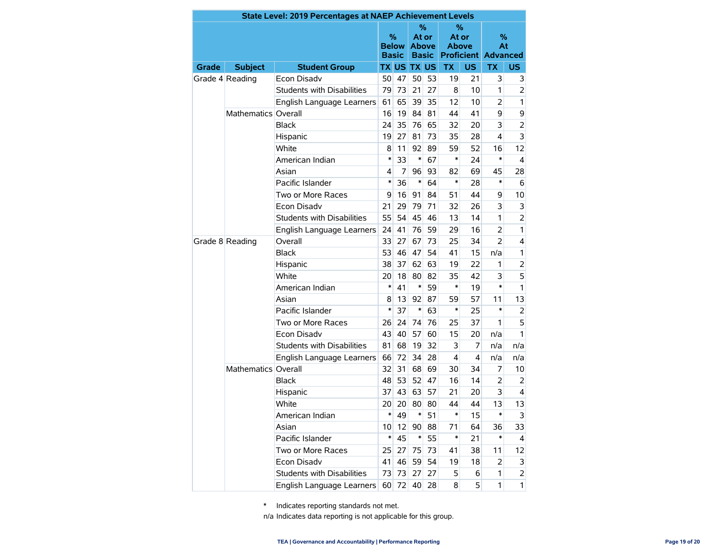|       |                     | <b>State Level: 2019 Percentages at NAEP Achievement Levels</b> |        |                              |                                                                  |    |                       |     |                                       |                |  |  |  |
|-------|---------------------|-----------------------------------------------------------------|--------|------------------------------|------------------------------------------------------------------|----|-----------------------|-----|---------------------------------------|----------------|--|--|--|
|       |                     |                                                                 | %      | <b>Below</b><br><b>Basic</b> | ℅<br>At or<br><b>Above</b><br><b>Basic</b><br><b>TX US TX US</b> |    | At or<br><b>Above</b> | ℅   | %<br>At<br><b>Proficient Advanced</b> |                |  |  |  |
| Grade | <b>Subject</b>      | <b>Student Group</b>                                            |        |                              |                                                                  |    | <b>TX</b>             | US. | <b>TX</b>                             | <b>US</b>      |  |  |  |
|       | Grade 4 Reading     | Econ Disadv                                                     | 50     | 47                           | 50                                                               | 53 | 19                    | 21  | 3                                     | 3              |  |  |  |
|       |                     | <b>Students with Disabilities</b>                               | 79     | 73                           | 21                                                               | 27 | 8                     | 10  | 1                                     | $\overline{2}$ |  |  |  |
|       |                     | English Language Learners                                       | 61     | 65                           | 39                                                               | 35 | 12                    | 10  | 2                                     | 1              |  |  |  |
|       | Mathematics Overall |                                                                 | 16     | 19                           | 84                                                               | 81 | 44                    | 41  | 9                                     | 9              |  |  |  |
|       |                     | <b>Black</b>                                                    | 24     | 35                           | 76                                                               | 65 | 32                    | 20  | 3                                     | $\overline{2}$ |  |  |  |
|       |                     | Hispanic                                                        | 19     | 27                           | 81                                                               | 73 | 35                    | 28  | 4                                     | 3              |  |  |  |
|       |                     | White                                                           | 8      | 11                           | 92                                                               | 89 | 59                    | 52  | 16                                    | 12             |  |  |  |
|       |                     | American Indian                                                 | $\ast$ | 33                           | $\ast$                                                           | 67 | *                     | 24  | $\ast$                                | 4              |  |  |  |
|       |                     | Asian                                                           | 4      | 7                            | 96                                                               | 93 | 82                    | 69  | 45                                    | 28             |  |  |  |
|       |                     | Pacific Islander                                                | $\ast$ | 36                           | $\ast$                                                           | 64 | *                     | 28  | $\ast$                                | 6              |  |  |  |
|       |                     | Two or More Races                                               | 9      | 16                           | 91                                                               | 84 | 51                    | 44  | 9                                     | 10             |  |  |  |
|       | <b>Econ Disadv</b>  |                                                                 | 29     | 79                           | 71                                                               | 32 | 26                    | 3   | 3                                     |                |  |  |  |
|       |                     | <b>Students with Disabilities</b>                               | 55     | 54                           | 45                                                               | 46 | 13                    | 14  | 1                                     | $\overline{2}$ |  |  |  |
|       |                     | English Language Learners                                       | 24     | 41                           | 76                                                               | 59 | 29                    | 16  | $\overline{2}$                        | 1              |  |  |  |
|       | Grade 8 Reading     | Overall                                                         | 33     | 27                           | 67                                                               | 73 | 25                    | 34  | $\overline{2}$                        | $\overline{4}$ |  |  |  |
|       |                     | Black                                                           | 53     | 46                           | 47                                                               | 54 | 41                    | 15  | n/a                                   | 1              |  |  |  |
|       |                     | Hispanic                                                        | 38     | 37                           | 62                                                               | 63 | 19                    | 22  | 1                                     | $\overline{2}$ |  |  |  |
|       |                     | White                                                           | 20     | 18                           | 80                                                               | 82 | 35                    | 42  | 3                                     | 5              |  |  |  |
|       |                     | American Indian                                                 | $\ast$ | 41                           | $\ast$                                                           | 59 | *                     | 19  | *                                     | 1              |  |  |  |
|       |                     | Asian                                                           | 8      | 13                           | 92                                                               | 87 | 59                    | 57  | 11                                    | 13             |  |  |  |
|       |                     | Pacific Islander                                                | $\ast$ | 37                           | $\ast$                                                           | 63 | *                     | 25  | *                                     | 2              |  |  |  |
|       |                     | Two or More Races                                               | 26     | 24                           | 74                                                               | 76 | 25                    | 37  | 1                                     | 5              |  |  |  |
|       |                     | <b>Econ Disadv</b>                                              | 43     | 40                           | 57                                                               | 60 | 15                    | 20  | n/a                                   | 1              |  |  |  |
|       |                     | <b>Students with Disabilities</b>                               | 81     | 68                           | 19                                                               | 32 | 3                     | 7   | n/a                                   | n/a            |  |  |  |
|       |                     | English Language Learners                                       | 66     | 72                           | 34                                                               | 28 | 4                     | 4   | n/a                                   | n/a            |  |  |  |
|       | Mathematics Overall |                                                                 | 32     | 31                           | 68                                                               | 69 | 30                    | 34  | 7                                     | 10             |  |  |  |
|       |                     | <b>Black</b>                                                    | 48     | 53                           | 52                                                               | 47 | 16                    | 14  | 2                                     | 2              |  |  |  |
|       |                     | Hispanic                                                        | 37     | 43                           | 63                                                               | 57 | 21                    | 20  | 3                                     | 4              |  |  |  |
|       |                     | White                                                           | 20     | 20                           | 80                                                               | 80 | 44                    | 44  | 13                                    | 13             |  |  |  |
|       |                     | American Indian                                                 | *      | 49                           | ∗                                                                | 51 | *                     | 15  | *                                     | 3              |  |  |  |
|       |                     | Asian                                                           | 10     | 12                           | 90                                                               | 88 | 71                    | 64  | 36                                    | 33             |  |  |  |
|       |                     | Pacific Islander                                                | $\ast$ | 45                           | $\ast$                                                           | 55 | $\ast$                | 21  | $\ast$                                | 4              |  |  |  |
|       |                     | Two or More Races                                               | 25     | 27                           | 75                                                               | 73 | 41                    | 38  | 11                                    | 12             |  |  |  |
|       |                     | Econ Disadv                                                     | 41     | 46                           | 59                                                               | 54 | 19                    | 18  | 2                                     | 3              |  |  |  |
|       |                     | Students with Disabilities                                      | 73     | 73                           | 27                                                               | 27 | 5                     | 6   | 1                                     | $\overline{2}$ |  |  |  |
|       |                     | English Language Learners                                       |        | 60 72                        | 40                                                               | 28 | 8                     | 5   | 1                                     | $\mathbf{1}$   |  |  |  |

\* Indicates reporting standards not met.

n/a Indicates data reporting is not applicable for this group.